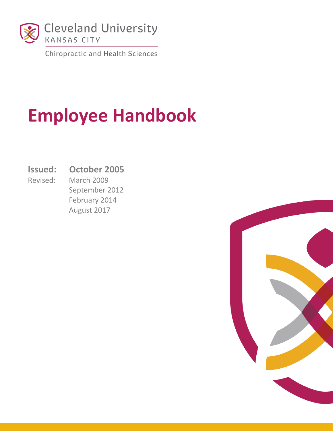

**Chiropractic and Health Sciences** 

# **Employee Handbook**

- **Issued: October 2005**
- Revised: March 2009 September 2012 February 2014 August 2017

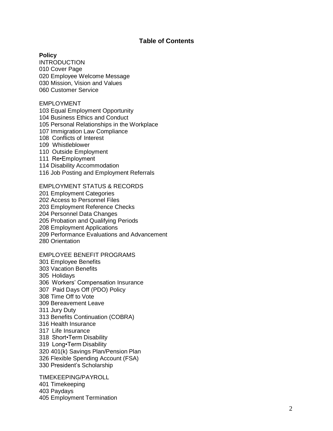## **Table of Contents**

**Policy**

INTRODUCTION 010 Cover Page 020 Employee Welcome Message 030 Mission, Vision and Values 060 Customer Service

EMPLOYMENT

103 Equal Employment Opportunity 104 Business Ethics and Conduct 105 Personal Relationships in the Workplace 107 Immigration Law Compliance 108 Conflicts of Interest 109 Whistleblower 110 Outside Employment

- 111 Re•Employment
- 114 Disability Accommodation

116 Job Posting and Employment Referrals

EMPLOYMENT STATUS & RECORDS 201 Employment Categories 202 Access to Personnel Files 203 Employment Reference Checks 204 Personnel Data Changes 205 Probation and Qualifying Periods 208 Employment Applications

209 Performance Evaluations and Advancement

280 Orientation

EMPLOYEE BENEFIT PROGRAMS 301 Employee Benefits 303 Vacation Benefits 305 Holidays 306 Workers' Compensation Insurance 307 Paid Days Off (PDO) Policy 308 Time Off to Vote 309 Bereavement Leave 311 Jury Duty 313 Benefits Continuation (COBRA) 316 Health Insurance 317 Life Insurance 318 Short•Term Disability 319 Long•Term Disability 320 401(k) Savings Plan/Pension Plan 326 Flexible Spending Account (FSA) 330 President's Scholarship

TIMEKEEPING/PAYROLL 401 Timekeeping 403 Paydays 405 Employment Termination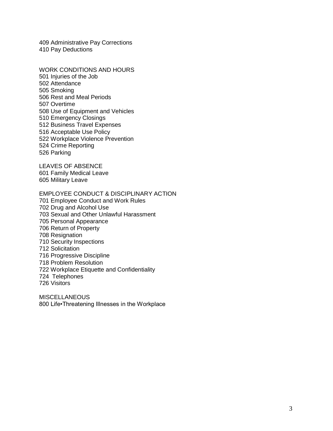409 Administrative Pay Corrections 410 Pay Deductions

WORK CONDITIONS AND HOURS 501 Injuries of the Job 502 Attendance 505 Smoking 506 Rest and Meal Periods 507 Overtime 508 Use of Equipment and Vehicles 510 Emergency Closings 512 Business Travel Expenses 516 Acceptable Use Policy 522 Workplace Violence Prevention 524 Crime Reporting 526 Parking

LEAVES OF ABSENCE 601 Family Medical Leave 605 Military Leave

EMPLOYEE CONDUCT & DISCIPLINARY ACTION 701 Employee Conduct and Work Rules 702 Drug and Alcohol Use 703 Sexual and Other Unlawful Harassment 705 Personal Appearance 706 Return of Property 708 Resignation 710 Security Inspections 712 Solicitation 716 Progressive Discipline 718 Problem Resolution 722 Workplace Etiquette and Confidentiality 724 Telephones 726 Visitors

**MISCELLANEOUS** 800 Life•Threatening Illnesses in the Workplace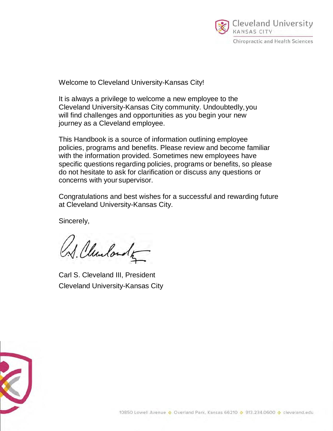

Welcome to Cleveland University-Kansas City!

It is always a privilege to welcome a new employee to the Cleveland University-Kansas City community. Undoubtedly, you will find challenges and opportunities as you begin your new journey as a Cleveland employee.

This Handbook is a source of information outlining employee policies, programs and benefits. Please review and become familiar with the information provided. Sometimes new employees have specific questions regarding policies, programs or benefits, so please do not hesitate to ask for clarification or discuss any questions or concerns with your supervisor.

Congratulations and best wishes for a successful and rewarding future at Cleveland University-Kansas City.

Sincerely,

J. Churlordk

Carl S. Cleveland III, President Cleveland University-Kansas City

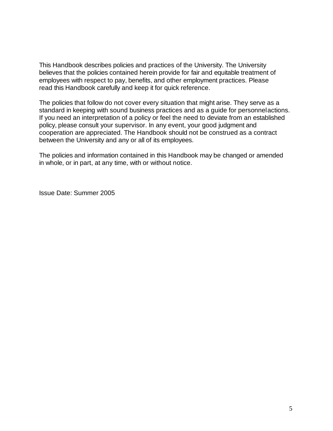This Handbook describes policies and practices of the University. The University believes that the policies contained herein provide for fair and equitable treatment of employees with respect to pay, benefits, and other employment practices. Please read this Handbook carefully and keep it for quick reference.

The policies that follow do not cover every situation that might arise. They serve as a standard in keeping with sound business practices and as a guide for personnelactions. If you need an interpretation of a policy or feel the need to deviate from an established policy, please consult your supervisor. In any event, your good judgment and cooperation are appreciated. The Handbook should not be construed as a contract between the University and any or all of its employees.

The policies and information contained in this Handbook may be changed or amended in whole, or in part, at any time, with or without notice.

Issue Date: Summer 2005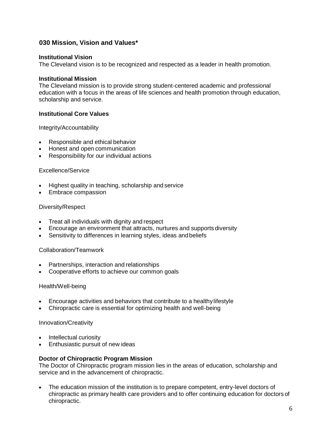# **030 Mission, Vision and Values\***

#### **Institutional Vision**

The Cleveland vision is to be recognized and respected as a leader in health promotion.

#### **Institutional Mission**

The Cleveland mission is to provide strong student-centered academic and professional education with a focus in the areas of life sciences and health promotion through education, scholarship and service.

## **Institutional Core Values**

Integrity/Accountability

- Responsible and ethical behavior
- Honest and open communication
- Responsibility for our individual actions

#### Excellence/Service

- Highest quality in teaching, scholarship and service
- Embrace compassion

#### Diversity/Respect

- Treat all individuals with dignity and respect
- Encourage an environment that attracts, nurtures and supports diversity
- Sensitivity to differences in learning styles, ideas andbeliefs

## Collaboration/Teamwork

- Partnerships, interaction and relationships
- Cooperative efforts to achieve our common goals

#### Health/Well-being

- Encourage activities and behaviors that contribute to a healthylifestyle
- Chiropractic care is essential for optimizing health and well-being

#### Innovation/Creativity

- Intellectual curiosity
- Enthusiastic pursuit of new ideas

#### **Doctor of Chiropractic Program Mission**

The Doctor of Chiropractic program mission lies in the areas of education, scholarship and service and in the advancement of chiropractic.

The education mission of the institution is to prepare competent, entry-level doctors of chiropractic as primary health care providers and to offer continuing education for doctors of chiropractic.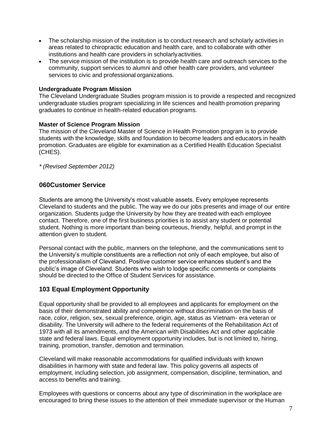- The scholarship mission of the institution is to conduct research and scholarly activities in areas related to chiropractic education and health care, and to collaborate with other institutions and health care providers in scholarlyactivities.
- The service mission of the institution is to provide health care and outreach services to the community, support services to alumni and other health care providers, and volunteer services to civic and professional organizations.

## **Undergraduate Program Mission**

The Cleveland Undergraduate Studies program mission is to provide a respected and recognized undergraduate studies program specializing in life sciences and health promotion preparing graduates to continue in health-related education programs.

## **Master of Science Program Mission**

The mission of the Cleveland Master of Science in Health Promotion program is to provide students with the knowledge, skills and foundation to become leaders and educators in health promotion. Graduates are eligible for examination as a Certified Health Education Specialist (CHES).

*\* (Revised September 2012)*

## **060Customer Service**

Students are among the University's most valuable assets. Every employee represents Cleveland to students and the public. The way we do our jobs presents and image of our entire organization. Students judge the University by how they are treated with each employee contact. Therefore, one of the first business priorities is to assist any student or potential student. Nothing is more important than being courteous, friendly, helpful, and prompt in the attention given to student.

Personal contact with the public, manners on the telephone, and the communications sent to the University's multiple constituents are a reflection not only of each employee, but also of the professionalism of Cleveland. Positive customer service enhances student's and the public's image of Cleveland. Students who wish to lodge specific comments or complaints should be directed to the Office of Student Services for assistance.

## **103 Equal Employment Opportunity**

Equal opportunity shall be provided to all employees and applicants for employment on the basis of their demonstrated ability and competence without discrimination on the basis of race, color, religion, sex, sexual preference, origin, age, status as Vietnam- era veteran or disability. The University will adhere to the federal requirements of the Rehabilitation Act of 1973 with all its amendments, and the American with Disabilities Act and other applicable state and federal laws. Equal employment opportunity includes, but is not limited to, hiring, training, promotion, transfer, demotion and termination.

Cleveland will make reasonable accommodations for qualified individuals with known disabilities in harmony with state and federal law. This policy governs all aspects of employment, including selection, job assignment, compensation, discipline, termination, and access to benefits and training.

Employees with questions or concerns about any type of discrimination in the workplace are encouraged to bring these issues to the attention of their immediate supervisor or the Human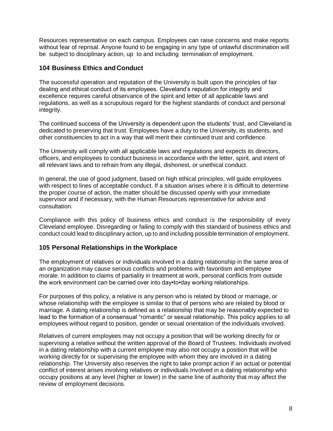Resources representative on each campus. Employees can raise concerns and make reports without fear of reprisal. Anyone found to be engaging in any type of unlawful discrimination will be subject to disciplinary action, up to and including termination of employment.

## **104 Business Ethics and Conduct**

The successful operation and reputation of the University is built upon the principles of fair dealing and ethical conduct of its employees. Cleveland's reputation for integrity and excellence requires careful observance of the spirit and letter of all applicable laws and regulations, as well as a scrupulous regard for the highest standards of conduct and personal integrity.

The continued success of the University is dependent upon the students' trust, and Cleveland is dedicated to preserving that trust. Employees have a duty to the University, its students, and other constituencies to act in a way that will merit their continued trust and confidence.

The University will comply with all applicable laws and regulations and expects its directors, officers, and employees to conduct business in accordance with the letter, spirit, and intent of all relevant laws and to refrain from any illegal, dishonest, or unethical conduct.

In general, the use of good judgment, based on high ethical principles, will guide employees with respect to lines of acceptable conduct. If a situation arises where it is difficult to determine the proper course of action, the matter should be discussed openly with your immediate supervisor and if necessary, with the Human Resources representative for advice and consultation.

Compliance with this policy of business ethics and conduct is the responsibility of every Cleveland employee. Disregarding or failing to comply with this standard of business ethics and conduct could lead to disciplinary action, up to and including possible termination of employment.

## **105 Personal Relationships in the Workplace**

The employment of relatives or individuals involved in a dating relationship in the same area of an organization may cause serious conflicts and problems with favoritism and employee morale. In addition to claims of partiality in treatment at work, personal conflicts from outside the work environment can be carried over into day•to•day working relationships.

For purposes of this policy, a relative is any person who is related by blood or marriage, or whose relationship with the employee is similar to that of persons who are related by blood or marriage. A dating relationship is defined as a relationship that may be reasonably expected to lead to the formation of a consensual "romantic" or sexual relationship. This policy applies to all employees without regard to position, gender or sexual orientation of the individuals involved.

Relatives of current employees may not occupy a position that will be working directly for or supervising a relative without the written approval of the Board of Trustees. Individuals involved in a dating relationship with a current employee may also not occupy a position that will be working directly for or supervising the employee with whom they are involved in a dating relationship. The University also reserves the right to take prompt action if an actual or potential conflict of interest arises involving relatives or individuals Involved in a dating relationship who occupy positions at any level (higher or lower) in the same line of authority that may affect the review of employment decisions.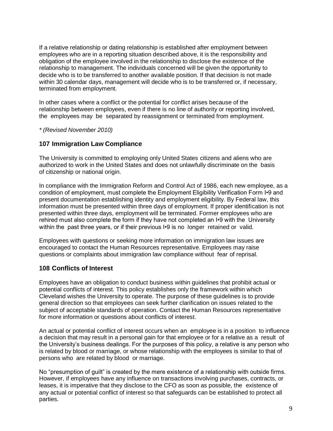If a relative relationship or dating relationship is established after employment between employees who are in a reporting situation described above, it is the responsibility and obligation of the employee involved in the relationship to disclose the existence of the relationship to management. The individuals concerned will be given the opportunity to decide who is to be transferred to another available position. If that decision is not made within 30 calendar days, management will decide who is to be transferred or, if necessary, terminated from employment.

In other cases where a conflict or the potential for conflict arises because of the relationship between employees, even if there is no line of authority or reporting involved, the employees may be separated by reassignment or terminated from employment.

*\* (Revised November 2010)*

## **107 Immigration Law Compliance**

The University is committed to employing only United States citizens and aliens who are authorized to work in the United States and does not unlawfully discriminate on the basis of citizenship or national origin.

In compliance with the Immigration Reform and Control Act of 1986, each new employee, as a condition of employment, must complete the Employment Eligibility Verification Form I•9 and present documentation establishing identity and employment eligibility. By Federal law, this information must be presented within three days of employment. If proper identification is not presented within three days, employment will be terminated. Former employees who are rehired must also complete the form if they have not completed an I•9 with the University within the past three years, or if their previous I•9 is no longer retained or valid.

Employees with questions or seeking more information on immigration law issues are encouraged to contact the Human Resources representative. Employees may raise questions or complaints about immigration law compliance without fear of reprisal.

## **108 Conflicts of Interest**

Employees have an obligation to conduct business within guidelines that prohibit actual or potential conflicts of interest. This policy establishes only the framework within which Cleveland wishes the University to operate. The purpose of these guidelines is to provide general direction so that employees can seek further clarification on issues related to the subject of acceptable standards of operation. Contact the Human Resources representative for more information or questions about conflicts of interest.

An actual or potential conflict of interest occurs when an employee is in a position to influence a decision that may result in a personal gain for that employee or for a relative as a result of the University's business dealings. For the purposes of this policy, a relative is any person who is related by blood or marriage, or whose relationship with the employees is similar to that of persons who are related by blood or marriage.

No "presumption of guilt" is created by the mere existence of a relationship with outside firms. However, if employees have any influence on transactions involving purchases, contracts, or leases, it is imperative that they disclose to the CFO as soon as possible, the existence of any actual or potential conflict of interest so that safeguards can be established to protect all parties.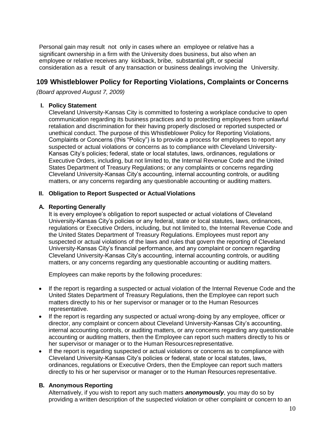Personal gain may result not only in cases where an employee or relative has a significant ownership in a firm with the University does business, but also when an employee or relative receives any kickback, bribe, substantial gift, or special consideration as a result of any transaction or business dealings involving the University.

# **109 Whistleblower Policy for Reporting Violations, Complaints or Concerns**

*(Board approved August 7, 2009)*

## **I. Policy Statement**

Cleveland University-Kansas City is committed to fostering a workplace conducive to open communication regarding its business practices and to protecting employees from unlawful retaliation and discrimination for their having properly disclosed or reported suspected or unethical conduct. The purpose of this Whistleblower Policy for Reporting Violations, Complaints or Concerns (this "Policy") is to provide a process for employees to report any suspected or actual violations or concerns as to compliance with Cleveland University-Kansas City's policies; federal, state or local statutes, laws, ordinances, regulations or Executive Orders, including, but not limited to, the Internal Revenue Code and the United States Department of Treasury Regulations; or any complaints or concerns regarding Cleveland University-Kansas City's accounting, internal accounting controls, or auditing matters, or any concerns regarding any questionable accounting or auditing matters.

#### **II. Obligation to Report Suspected or Actual Violations**

#### **A. Reporting Generally**

It is every employee's obligation to report suspected or actual violations of Cleveland University-Kansas City's policies or any federal, state or local statutes, laws, ordinances, regulations or Executive Orders, including, but not limited to, the Internal Revenue Code and the United States Department of Treasury Regulations. Employees must report any suspected or actual violations of the laws and rules that govern the reporting of Cleveland University-Kansas City's financial performance, and any complaint or concern regarding Cleveland University-Kansas City's accounting, internal accounting controls, or auditing matters, or any concerns regarding any questionable accounting or auditing matters.

Employees can make reports by the following procedures:

- If the report is regarding a suspected or actual violation of the Internal Revenue Code and the United States Department of Treasury Regulations, then the Employee can report such matters directly to his or her supervisor or manager or to the Human Resources representative.
- If the report is regarding any suspected or actual wrong-doing by any employee, officer or director, any complaint or concern about Cleveland University-Kansas City's accounting, internal accounting controls, or auditing matters, or any concerns regarding any questionable accounting or auditing matters, then the Employee can report such matters directly to his or her supervisor or manager or to the Human Resourcesrepresentative.
- If the report is regarding suspected or actual violations or concerns as to compliance with Cleveland University-Kansas City's policies or federal, state or local statutes, laws, ordinances, regulations or Executive Orders, then the Employee can report such matters directly to his or her supervisor or manager or to the Human Resources representative.

## **B. Anonymous Reporting**

Alternatively, if you wish to report any such matters *anonymously*, you may do so by providing a written description of the suspected violation or other complaint or concern to an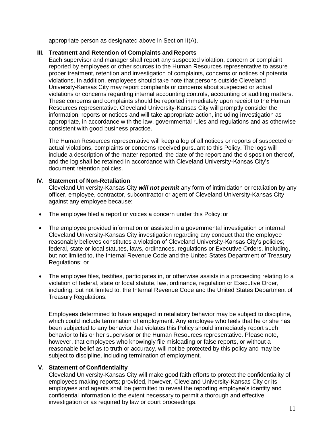appropriate person as designated above in Section II(A).

## **III. Treatment and Retention of Complaints and Reports**

Each supervisor and manager shall report any suspected violation, concern or complaint reported by employees or other sources to the Human Resources representative to assure proper treatment, retention and investigation of complaints, concerns or notices of potential violations. In addition, employees should take note that persons outside Cleveland University-Kansas City may report complaints or concerns about suspected or actual violations or concerns regarding internal accounting controls, accounting or auditing matters. These concerns and complaints should be reported immediately upon receipt to the Human Resources representative. Cleveland University-Kansas City will promptly consider the information, reports or notices and will take appropriate action, including investigation as appropriate, in accordance with the law, governmental rules and regulations and as otherwise consistent with good business practice.

The Human Resources representative will keep a log of all notices or reports of suspected or actual violations, complaints or concerns received pursuant to this Policy. The logs will include a description of the matter reported, the date of the report and the disposition thereof, and the log shall be retained in accordance with Cleveland University-Kansas City's document retention policies.

## **IV. Statement of Non-Retaliation**

Cleveland University-Kansas City *will not permit* any form of intimidation or retaliation by any officer, employee, contractor, subcontractor or agent of Cleveland University-Kansas City against any employee because:

- The employee filed a report or voices a concern under this Policy; or
- The employee provided information or assisted in a governmental investigation or internal Cleveland University-Kansas City investigation regarding any conduct that the employee reasonably believes constitutes a violation of Cleveland University-Kansas City's policies; federal, state or local statutes, laws, ordinances, regulations or Executive Orders, including, but not limited to, the Internal Revenue Code and the United States Department of Treasury Regulations; or
- The employee files, testifies, participates in, or otherwise assists in a proceeding relating to a violation of federal, state or local statute, law, ordinance, regulation or Executive Order, including, but not limited to, the Internal Revenue Code and the United States Department of Treasury Regulations.

Employees determined to have engaged in retaliatory behavior may be subject to discipline, which could include termination of employment. Any employee who feels that he or she has been subjected to any behavior that violates this Policy should immediately report such behavior to his or her supervisor or the Human Resources representative. Please note, however, that employees who knowingly file misleading or false reports, or without a reasonable belief as to truth or accuracy, will not be protected by this policy and may be subject to discipline, including termination of employment.

## **V. Statement of Confidentiality**

Cleveland University-Kansas City will make good faith efforts to protect the confidentiality of employees making reports; provided, however, Cleveland University-Kansas City or its employees and agents shall be permitted to reveal the reporting employee's identity and confidential information to the extent necessary to permit a thorough and effective investigation or as required by law or court proceedings.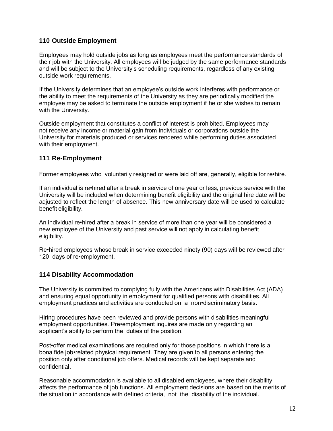# **110 Outside Employment**

Employees may hold outside jobs as long as employees meet the performance standards of their job with the University. All employees will be judged by the same performance standards and will be subject to the University's scheduling requirements, regardless of any existing outside work requirements.

If the University determines that an employee's outside work interferes with performance or the ability to meet the requirements of the University as they are periodically modified the employee may be asked to terminate the outside employment if he or she wishes to remain with the University.

Outside employment that constitutes a conflict of interest is prohibited. Employees may not receive any income or material gain from individuals or corporations outside the University for materials produced or services rendered while performing duties associated with their employment.

## **111 Re-Employment**

Former employees who voluntarily resigned or were laid off are, generally, eligible for re•hire.

If an individual is re•hired after a break in service of one year or less, previous service with the University will be included when determining benefit eligibility and the original hire date will be adjusted to reflect the length of absence. This new anniversary date will be used to calculate benefit eligibility.

An individual re•hired after a break in service of more than one year will be considered a new employee of the University and past service will not apply in calculating benefit eligibility.

Re•hired employees whose break in service exceeded ninety (90) days will be reviewed after 120 days of re•employment.

## **114 Disability Accommodation**

The University is committed to complying fully with the Americans with Disabilities Act (ADA) and ensuring equal opportunity in employment for qualified persons with disabilities. All employment practices and activities are conducted on a non•discriminatory basis.

Hiring procedures have been reviewed and provide persons with disabilities meaningful employment opportunities. Pre•employment inquires are made only regarding an applicant's ability to perform the duties of the position.

Post•offer medical examinations are required only for those positions in which there is a bona fide job•related physical requirement. They are given to all persons entering the position only after conditional job offers. Medical records will be kept separate and confidential.

Reasonable accommodation is available to all disabled employees, where their disability affects the performance of job functions. All employment decisions are based on the merits of the situation in accordance with defined criteria, not the disability of the individual.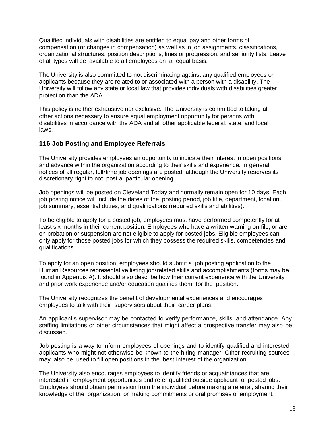Qualified individuals with disabilities are entitled to equal pay and other forms of compensation (or changes in compensation) as well as in job assignments, classifications, organizational structures, position descriptions, lines or progression, and seniority lists. Leave of all types will be available to all employees on a equal basis.

The University is also committed to not discriminating against any qualified employees or applicants because they are related to or associated with a person with a disability. The University will follow any state or local law that provides individuals with disabilities greater protection than the ADA.

This policy is neither exhaustive nor exclusive. The University is committed to taking all other actions necessary to ensure equal employment opportunity for persons with disabilities in accordance with the ADA and all other applicable federal, state, and local laws.

## **116 Job Posting and Employee Referrals**

The University provides employees an opportunity to indicate their interest in open positions and advance within the organization according to their skills and experience. In general, notices of all regular, full•time job openings are posted, although the University reserves its discretionary right to not post a particular opening.

Job openings will be posted on Cleveland Today and normally remain open for 10 days. Each job posting notice will include the dates of the posting period, job title, department, location, job summary, essential duties, and qualifications (required skills and abilities).

To be eligible to apply for a posted job, employees must have performed competently for at least six months in their current position. Employees who have a written warning on file, or are on probation or suspension are not eligible to apply for posted jobs. Eligible employees can only apply for those posted jobs for which they possess the required skills, competencies and qualifications.

To apply for an open position, employees should submit a job posting application to the Human Resources representative listing job•related skills and accomplishments (forms may be found in Appendix A). It should also describe how their current experience with the University and prior work experience and/or education qualifies them for the position.

The University recognizes the benefit of developmental experiences and encourages employees to talk with their supervisors about their career plans.

An applicant's supervisor may be contacted to verify performance, skills, and attendance. Any staffing limitations or other circumstances that might affect a prospective transfer may also be discussed.

Job posting is a way to inform employees of openings and to identify qualified and interested applicants who might not otherwise be known to the hiring manager. Other recruiting sources may also be used to fill open positions in the best interest of the organization.

The University also encourages employees to identify friends or acquaintances that are interested in employment opportunities and refer qualified outside applicant for posted jobs. Employees should obtain permission from the individual before making a referral, sharing their knowledge of the organization, or making commitments or oral promises of employment.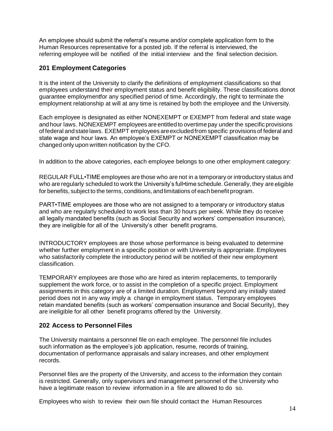An employee should submit the referral's resume and/or complete application form to the Human Resources representative for a posted job. If the referral is interviewed, the referring employee will be notified of the initial interview and the final selection decision.

## **201 Employment Categories**

It is the intent of the University to clarify the definitions of employment classifications so that employees understand their employment status and benefit eligibility. These classifications donot guarantee employmentfor any specified period of time. Accordingly, the right to terminate the employment relationship at will at any time is retained by both the employee and the University.

Each employee is designated as either NONEXEMPT or EXEMPT from federal and state wage and hour laws. NONEXEMPT employees are entitled to overtimepay under the specific provisions of federal andstatelaws. EXEMPT employees areexcludedfrom specific provisions of federal and state wage and hour laws. An employee's EXEMPT or NONEXEMPT classification may be changed only upon written notification by the CFO.

In addition to the above categories, each employee belongs to one other employment category:

REGULAR FULL•TIME employees are those who are not in a temporary or introductory status and who are regularly scheduled to work the University's full•time schedule. Generally, they are eligible for benefits, subject to the terms, conditions,andlimitations of eachbenefit program.

PART•TIME employees are those who are not assigned to a temporary or introductory status and who are regularly scheduled to work less than 30 hours per week. While they do receive all legally mandated benefits (such as Social Security and workers' compensation insurance), they are ineligible for all of the University's other benefit programs.

INTRODUCTORY employees are those whose performance is being evaluated to determine whether further employment in a specific position or with University is appropriate. Employees who satisfactorily complete the introductory period will be notified of their new employment classification.

TEMPORARY employees are those who are hired as interim replacements, to temporarily supplement the work force, or to assist in the completion of a specific project. Employment assignments in this category are of a limited duration. Employment beyond any initially stated period does not in any way imply a change in employment status. Temporary employees retain mandated benefits (such as workers' compensation insurance and Social Security), they are ineligible for all other benefit programs offered by the University.

## **202 Access to Personnel Files**

The University maintains a personnel file on each employee. The personnel file includes such information as the employee's job application, resume, records of training, documentation of performance appraisals and salary increases, and other employment records.

Personnel files are the property of the University, and access to the information they contain is restricted. Generally, only supervisors and management personnel of the University who have a legitimate reason to review information in a file are allowed to do so.

Employees who wish to review their own file should contact the Human Resources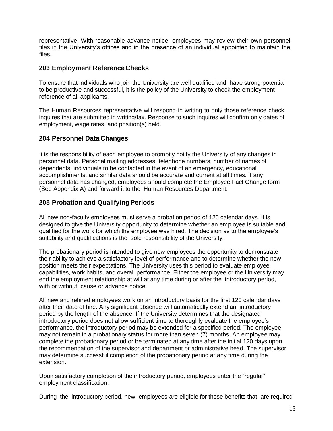representative. With reasonable advance notice, employees may review their own personnel files in the University's offices and in the presence of an individual appointed to maintain the files.

## **203 Employment Reference Checks**

To ensure that individuals who join the University are well qualified and have strong potential to be productive and successful, it is the policy of the University to check the employment reference of all applicants.

The Human Resources representative will respond in writing to only those reference check inquires that are submitted in writing/fax. Response to such inquires will confirm only dates of employment, wage rates, and position(s) held.

## **204 Personnel Data Changes**

It is the responsibility of each employee to promptly notify the University of any changes in personnel data. Personal mailing addresses, telephone numbers, number of names of dependents, individuals to be contacted in the event of an emergency, educational accomplishments, and similar data should be accurate and current at all times. If any personnel data has changed, employees should complete the Employee Fact Change form (See Appendix A) and forward it to the Human Resources Department.

## **205 Probation and Qualifying Periods**

All new non•faculty employees must serve a probation period of 120 calendar days. It is designed to give the University opportunity to determine whether an employee is suitable and qualified for the work for which the employee was hired. The decision as to the employee's suitability and qualifications is the sole responsibility of the University.

The probationary period is intended to give new employees the opportunity to demonstrate their ability to achieve a satisfactory level of performance and to determine whether the new position meets their expectations. The University uses this period to evaluate employee capabilities, work habits, and overall performance. Either the employee or the University may end the employment relationship at will at any time during or after the introductory period, with or without cause or advance notice.

All new and rehired employees work on an introductory basis for the first 120 calendar days after their date of hire. Any significant absence will automatically extend an introductory period by the length of the absence. If the University determines that the designated introductory period does not allow sufficient time to thoroughly evaluate the employee's performance, the introductory period may be extended for a specified period. The employee may not remain in a probationary status for more than seven (7) months. An employee may complete the probationary period or be terminated at any time after the initial 120 days upon the recommendation of the supervisor and department or administrative head. The supervisor may determine successful completion of the probationary period at any time during the extension.

Upon satisfactory completion of the introductory period, employees enter the "regular" employment classification.

During the introductory period, new employees are eligible for those benefits that are required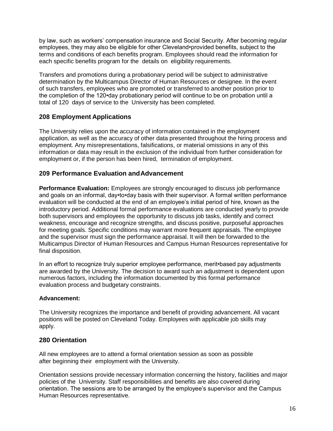by law, such as workers' compensation insurance and Social Security. After becoming regular employees, they may also be eligible for other Cleveland•provided benefits, subject to the terms and conditions of each benefits program. Employees should read the information for each specific benefits program for the details on eligibility requirements.

Transfers and promotions during a probationary period will be subject to administrative determination by the Multicampus Director of Human Resources or designee. In the event of such transfers, employees who are promoted or transferred to another position prior to the completion of the 120•day probationary period will continue to be on probation until a total of 120 days of service to the University has been completed.

## **208 Employment Applications**

The University relies upon the accuracy of information contained in the employment application, as well as the accuracy of other data presented throughout the hiring process and employment. Any misrepresentations, falsifications, or material omissions in any of this information or data may result in the exclusion of the individual from further consideration for employment or, if the person has been hired, termination of employment.

## **209 Performance Evaluation andAdvancement**

**Performance Evaluation:** Employees are strongly encouraged to discuss job performance and goals on an informal, day•to•day basis with their supervisor. A formal written performance evaluation will be conducted at the end of an employee's initial period of hire, known as the introductory period. Additional formal performance evaluations are conducted yearly to provide both supervisors and employees the opportunity to discuss job tasks, identify and correct weakness, encourage and recognize strengths, and discuss positive, purposeful approaches for meeting goals. Specific conditions may warrant more frequent appraisals. The employee and the supervisor must sign the performance appraisal. It will then be forwarded to the Multicampus Director of Human Resources and Campus Human Resources representative for final disposition.

In an effort to recognize truly superior employee performance, merit•based pay adjustments are awarded by the University. The decision to award such an adjustment is dependent upon numerous factors, including the information documented by this formal performance evaluation process and budgetary constraints.

## **Advancement:**

The University recognizes the importance and benefit of providing advancement. All vacant positions will be posted on Cleveland Today. Employees with applicable job skills may apply.

## **280 Orientation**

All new employees are to attend a formal orientation session as soon as possible after beginning their employment with the University.

Orientation sessions provide necessary information concerning the history, facilities and major policies of the University. Staff responsibilities and benefits are also covered during orientation. The sessions are to be arranged by the employee's supervisor and the Campus Human Resources representative.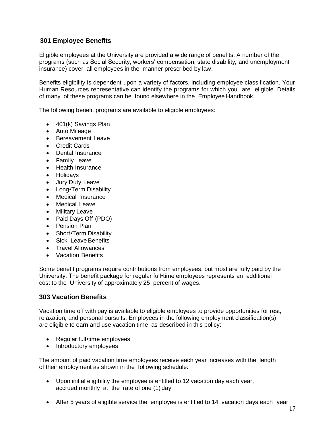# **301 Employee Benefits**

Eligible employees at the University are provided a wide range of benefits. A number of the programs (such as Social Security, workers' compensation, state disability, and unemployment insurance) cover all employees in the manner prescribed by law.

Benefits eligibility is dependent upon a variety of factors, including employee classification. Your Human Resources representative can identify the programs for which you are eligible. Details of many of these programs can be found elsewhere in the Employee Handbook.

The following benefit programs are available to eligible employees:

- 401(k) Savings Plan
- Auto Mileage
- Bereavement Leave
- Credit Cards
- Dental Insurance
- **Family Leave**
- Health Insurance
- **Holidavs**
- Jury Duty Leave
- Long•Term Disability
- Medical Insurance
- Medical Leave
- **Military Leave**
- Paid Days Off (PDO)
- Pension Plan
- Short•Term Disability
- Sick Leave Benefits
- Travel Allowances
- Vacation Benefits

Some benefit programs require contributions from employees, but most are fully paid by the University. The benefit package for regular full•time employees represents an additional cost to the University of approximately 25 percent of wages.

## **303 Vacation Benefits**

Vacation time off with pay is available to eligible employees to provide opportunities for rest, relaxation, and personal pursuits. Employees in the following employment classification(s) are eligible to earn and use vacation time as described in this policy:

- Regular full•time employees
- Introductory employees

The amount of paid vacation time employees receive each year increases with the length of their employment as shown in the following schedule:

- Upon initial eligibility the employee is entitled to 12 vacation day each year, accrued monthly at the rate of one (1) day.
- After 5 years of eligible service the employee is entitled to 14 vacation days each year,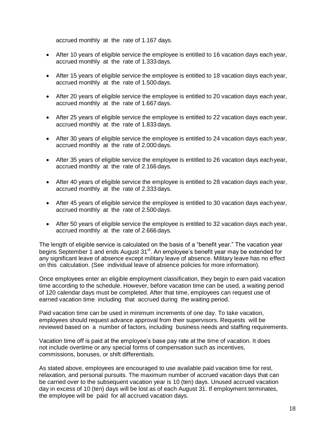accrued monthly at the rate of 1.167 days.

- After 10 years of eligible service the employee is entitled to 16 vacation days each year, accrued monthly at the rate of 1.333 days.
- After 15 years of eligible service the employee is entitled to 18 vacation days each year, accrued monthly at the rate of 1.500 days.
- After 20 years of eligible service the employee is entitled to 20 vacation days each year, accrued monthly at the rate of 1.667 days.
- After 25 years of eligible service the employee is entitled to 22 yacation days each year, accrued monthly at the rate of 1.833 days.
- After 30 years of eligible service the employee is entitled to 24 vacation days each year, accrued monthly at the rate of 2.000 days.
- After 35 years of eligible service the employee is entitled to 26 vacation days eachyear, accrued monthly at the rate of 2.166 days.
- After 40 years of eligible service the employee is entitled to 28 vacation days each year, accrued monthly at the rate of 2.333 days.
- After 45 years of eligible service the employee is entitled to 30 vacation days each year, accrued monthly at the rate of 2.500 days.
- After 50 years of eligible service the employee is entitled to 32 vacation days each year, accrued monthly at the rate of 2.666 days.

The length of eligible service is calculated on the basis of a "benefit year." The vacation year begins September 1 and ends August 31<sup>st</sup>. An employee's benefit year may be extended for any significant leave of absence except military leave of absence. Military leave has no effect on this calculation. (See individual leave of absence policies for more information).

Once employees enter an eligible employment classification, they begin to earn paid vacation time according to the schedule. However, before vacation time can be used, a waiting period of 120 calendar days must be completed. After that time, employees can request use of earned vacation time including that accrued during the waiting period.

Paid vacation time can be used in minimum increments of one day. To take vacation, employees should request advance approval from their supervisors. Requests will be reviewed based on a number of factors, including business needs and staffing requirements.

Vacation time off is paid at the employee's base pay rate at the time of vacation. It does not include overtime or any special forms of compensation such as incentives, commissions, bonuses, or shift differentials.

As stated above, employees are encouraged to use available paid vacation time for rest, relaxation, and personal pursuits. The maximum number of accrued vacation days that can be carried over to the subsequent vacation year is 10 (ten) days. Unused accrued vacation day in excess of 10 (ten) days will be lost as of each August 31. If employment terminates, the employee will be paid for all accrued vacation days.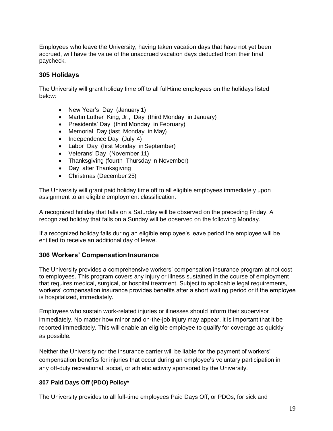Employees who leave the University, having taken vacation days that have not yet been accrued, will have the value of the unaccrued vacation days deducted from their final paycheck.

## **305 Holidays**

The University will grant holiday time off to all full•time employees on the holidays listed below:

- New Year's Day (January 1)
- Martin Luther King, Jr., Day (third Monday in January)
- Presidents' Day (third Monday in February)
- Memorial Day (last Monday in May)
- Independence Day (July 4)
- Labor Day (first Monday in September)
- Veterans' Day (November 11)
- Thanksgiving (fourth Thursday in November)
- Day after Thanksgiving
- Christmas (December 25)

The University will grant paid holiday time off to all eligible employees immediately upon assignment to an eligible employment classification.

A recognized holiday that falls on a Saturday will be observed on the preceding Friday. A recognized holiday that falls on a Sunday will be observed on the following Monday.

If a recognized holiday falls during an eligible employee's leave period the employee will be entitled to receive an additional day of leave.

## **306 Workers' Compensation Insurance**

The University provides a comprehensive workers' compensation insurance program at not cost to employees. This program covers any injury or illness sustained in the course of employment that requires medical, surgical, or hospital treatment. Subject to applicable legal requirements, workers' compensation insurance provides benefits after a short waiting period or if the employee is hospitalized, immediately.

Employees who sustain work-related injuries or illnesses should inform their supervisor immediately. No matter how minor and on-the-job injury may appear, it is important that it be reported immediately. This will enable an eligible employee to qualify for coverage as quickly as possible.

Neither the University nor the insurance carrier will be liable for the payment of workers' compensation benefits for injuries that occur during an employee's voluntary participation in any off-duty recreational, social, or athletic activity sponsored by the University.

## **307 Paid Days Off (PDO) Policy\***

The University provides to all full-time employees Paid Days Off, or PDOs, for sick and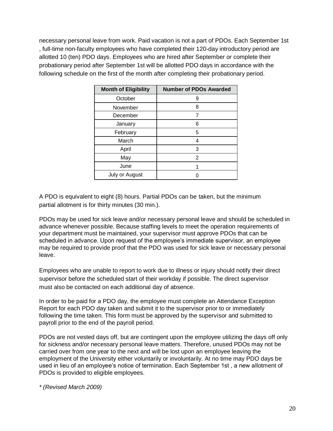necessary personal leave from work. Paid vacation is not a part of PDOs. Each September 1st , full-time non-faculty employees who have completed their 120-day introductory period are allotted 10 (ten) PDO days. Employees who are hired after September or complete their probationary period after September 1st will be allotted PDO days in accordance with the following schedule on the first of the month after completing their probationary period.

| <b>Month of Eligibility</b> | <b>Number of PDOs Awarded</b> |
|-----------------------------|-------------------------------|
| October                     | 9                             |
| November                    | 8                             |
| December                    |                               |
| January                     | 6                             |
| February                    | 5                             |
| March                       | 4                             |
| April                       | 3                             |
| May                         | 2                             |
| June                        |                               |
| July or August              |                               |

A PDO is equivalent to eight (8) hours. Partial PDOs can be taken, but the minimum partial allotment is for thirty minutes (30 min.).

PDOs may be used for sick leave and/or necessary personal leave and should be scheduled in advance whenever possible. Because staffing levels to meet the operation requirements of your department must be maintained, your supervisor must approve PDOs that can be scheduled in advance. Upon request of the employee's immediate supervisor, an employee may be required to provide proof that the PDO was used for sick leave or necessary personal leave.

Employees who are unable to report to work due to illness or injury should notify their direct supervisor before the scheduled start of their workday if possible. The direct supervisor must also be contacted on each additional day of absence.

In order to be paid for a PDO day, the employee must complete an Attendance Exception Report for each PDO day taken and submit it to the supervisor prior to or immediately following the time taken. This form must be approved by the supervisor and submitted to payroll prior to the end of the payroll period.

PDOs are not vested days off, but are contingent upon the employee utilizing the days off only for sickness and/or necessary personal leave matters. Therefore, unused PDOs may not be carried over from one year to the next and will be lost upon an employee leaving the employment of the University either voluntarily or involuntarily. At no time may PDO days be used in lieu of an employee's notice of termination. Each September 1st , a new allotment of PDOs is provided to eligible employees.

*\* (Revised March 2009)*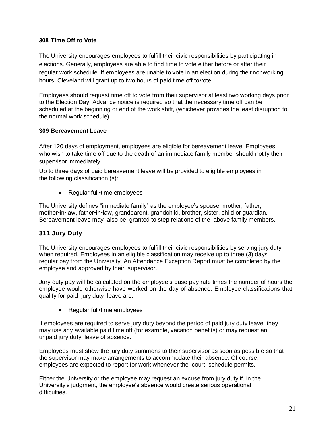## **308 Time Off to Vote**

The University encourages employees to fulfill their civic responsibilities by participating in elections. Generally, employees are able to find time to vote either before or after their regular work schedule. If employees are unable to vote in an election during their nonworking hours, Cleveland will grant up to two hours of paid time off tovote.

Employees should request time off to vote from their supervisor at least two working days prior to the Election Day. Advance notice is required so that the necessary time off can be scheduled at the beginning or end of the work shift, (whichever provides the least disruption to the normal work schedule).

## **309 Bereavement Leave**

After 120 days of employment, employees are eligible for bereavement leave. Employees who wish to take time off due to the death of an immediate family member should notify their supervisor immediately.

Up to three days of paid bereavement leave will be provided to eligible employees in the following classification (s):

• Regular full•time employees

The University defines "immediate family" as the employee's spouse, mother, father, mother•in•law, father•in•law, grandparent, grandchild, brother, sister, child or guardian. Bereavement leave may also be granted to step relations of the above family members.

# **311 Jury Duty**

The University encourages employees to fulfill their civic responsibilities by serving jury duty when required. Employees in an eligible classification may receive up to three (3) days regular pay from the University. An Attendance Exception Report must be completed by the employee and approved by their supervisor.

Jury duty pay will be calculated on the employee's base pay rate times the number of hours the employee would otherwise have worked on the day of absence. Employee classifications that qualify for paid jury duty leave are:

• Regular full•time employees

If employees are required to serve jury duty beyond the period of paid jury duty leave, they may use any available paid time off (for example, vacation benefits) or may request an unpaid jury duty leave of absence.

Employees must show the jury duty summons to their supervisor as soon as possible so that the supervisor may make arrangements to accommodate their absence. Of course, employees are expected to report for work whenever the court schedule permits.

Either the University or the employee may request an excuse from jury duty if, in the University's judgment, the employee's absence would create serious operational difficulties.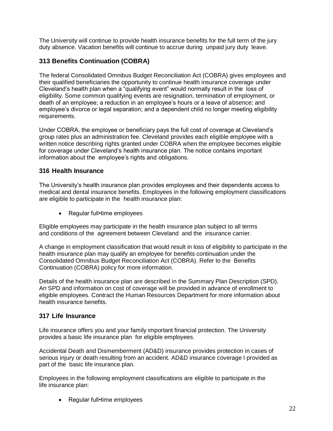The University will continue to provide health insurance benefits for the full term of the jury duty absence. Vacation benefits will continue to accrue during unpaid jury duty leave.

# **313 Benefits Continuation (COBRA)**

The federal Consolidated Omnibus Budget Reconciliation Act (COBRA) gives employees and their qualified beneficiaries the opportunity to continue health insurance coverage under Cleveland's health plan when a "qualifying event" would normally result in the loss of eligibility. Some common qualifying events are resignation, termination of employment, or death of an employee; a reduction in an employee's hours or a leave of absence; and employee's divorce or legal separation; and a dependent child no longer meeting eligibility requirements.

Under COBRA, the employee or beneficiary pays the full cost of coverage at Cleveland's group rates plus an administration fee. Cleveland provides each eligible employee with a written notice describing rights granted under COBRA when the employee becomes eligible for coverage under Cleveland's health insurance plan. The notice contains important information about the employee's rights and obligations.

## **316 Health Insurance**

The University's health insurance plan provides employees and their dependents access to medical and dental insurance benefits. Employees in the following employment classifications are eligible to participate in the health insurance plan:

• Regular full•time employees

Eligible employees may participate in the health insurance plan subject to all terms and conditions of the agreement between Cleveland and the insurance carrier.

A change in employment classification that would result in loss of eligibility to participate in the health insurance plan may qualify an employee for benefits continuation under the Consolidated Omnibus Budget Reconciliation Act (COBRA). Refer to the Benefits Continuation (COBRA) policy for more information.

Details of the health insurance plan are described in the Summary Plan Description (SPD). An SPD and information on cost of coverage will be provided in advance of enrollment to eligible employees. Contract the Human Resources Department for more information about health insurance benefits.

## **317 Life Insurance**

Life insurance offers you and your family important financial protection. The University provides a basic life insurance plan for eligible employees.

Accidental Death and Dismemberment (AD&D) insurance provides protection in cases of serious injury or death resulting from an accident. AD&D insurance coverage I provided as part of the basic life insurance plan.

Employees in the following employment classifications are eligible to participate in the life insurance plan:

• Regular full•time employees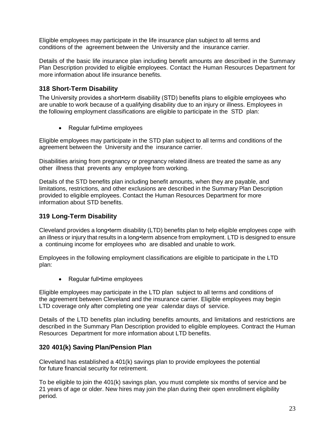Eligible employees may participate in the life insurance plan subject to all terms and conditions of the agreement between the University and the insurance carrier.

Details of the basic life insurance plan including benefit amounts are described in the Summary Plan Description provided to eligible employees. Contact the Human Resources Department for more information about life insurance benefits.

# **318 Short-Term Disability**

The University provides a short•term disability (STD) benefits plans to eligible employees who are unable to work because of a qualifying disability due to an injury or illness. Employees in the following employment classifications are eligible to participate in the STD plan:

• Regular full•time employees

Eligible employees may participate in the STD plan subject to all terms and conditions of the agreement between the University and the insurance carrier.

Disabilities arising from pregnancy or pregnancy related illness are treated the same as any other illness that prevents any employee from working.

Details of the STD benefits plan including benefit amounts, when they are payable, and limitations, restrictions, and other exclusions are described in the Summary Plan Description provided to eligible employees. Contact the Human Resources Department for more information about STD benefits.

## **319 Long-Term Disability**

Cleveland provides a long•term disability (LTD) benefits plan to help eligible employees cope with an illness or injury that results in a long•term absence from employment. LTD is designed to ensure a continuing income for employees who are disabled and unable to work.

Employees in the following employment classifications are eligible to participate in the LTD plan:

• Regular full • time employees

Eligible employees may participate in the LTD plan subject to all terms and conditions of the agreement between Cleveland and the insurance carrier. Eligible employees may begin LTD coverage only after completing one year calendar days of service.

Details of the LTD benefits plan including benefits amounts, and limitations and restrictions are described in the Summary Plan Description provided to eligible employees. Contract the Human Resources Department for more information about LTD benefits.

## **320 401(k) Saving Plan/Pension Plan**

Cleveland has established a 401(k) savings plan to provide employees the potential for future financial security for retirement.

To be eligible to join the 401(k) savings plan, you must complete six months of service and be 21 years of age or older. New hires may join the plan during their open enrollment eligibility period.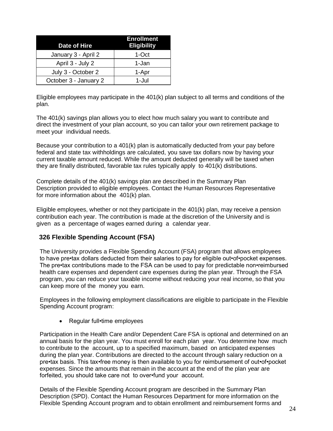| <b>Date of Hire</b>   | <b>Enrollment</b><br><b>Eligibility</b> |
|-----------------------|-----------------------------------------|
| January 3 - April 2   | 1-Oct                                   |
| April 3 - July 2      | 1-Jan                                   |
| July 3 - October 2    | 1-Apr                                   |
| October 3 - January 2 | 1-Jul                                   |

Eligible employees may participate in the 401(k) plan subject to all terms and conditions of the plan.

The 401(k) savings plan allows you to elect how much salary you want to contribute and direct the investment of your plan account, so you can tailor your own retirement package to meet your individual needs.

Because your contribution to a 401(k) plan is automatically deducted from your pay before federal and state tax withholdings are calculated, you save tax dollars now by having your current taxable amount reduced. While the amount deducted generally will be taxed when they are finally distributed, favorable tax rules typically apply to 401(k) distributions.

Complete details of the 401(k) savings plan are described in the Summary Plan Description provided to eligible employees. Contact the Human Resources Representative for more information about the 401(k) plan.

Eligible employees, whether or not they participate in the 401(k) plan, may receive a pension contribution each year. The contribution is made at the discretion of the University and is given as a percentage of wages earned during a calendar year.

## **326 Flexible Spending Account (FSA)**

The University provides a Flexible Spending Account (FSA) program that allows employees to have pre•tax dollars deducted from their salaries to pay for eligible out•of•pocket expenses. The pre•tax contributions made to the FSA can be used to pay for predictable non•reimbursed health care expenses and dependent care expenses during the plan year. Through the FSA program, you can reduce your taxable income without reducing your real income, so that you can keep more of the money you earn.

Employees in the following employment classifications are eligible to participate in the Flexible Spending Account program:

• Regular full•time employees

Participation in the Health Care and/or Dependent Care FSA is optional and determined on an annual basis for the plan year. You must enroll for each plan year. You determine how much to contribute to the account, up to a specified maximum, based on anticipated expenses during the plan year. Contributions are directed to the account through salary reduction on a pre•tax basis. This tax•free money is then available to you for reimbursement of out•of•pocket expenses. Since the amounts that remain in the account at the end of the plan year are forfeited, you should take care not to over•fund your account.

Details of the Flexible Spending Account program are described in the Summary Plan Description (SPD). Contact the Human Resources Department for more information on the Flexible Spending Account program and to obtain enrollment and reimbursement forms and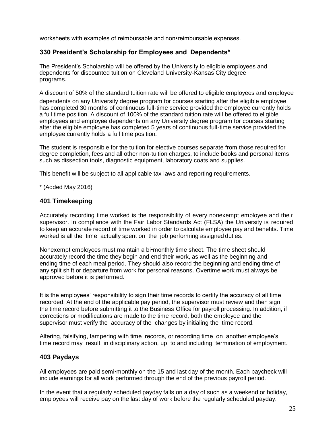worksheets with examples of reimbursable and non•reimbursable expenses.

# **330 President's Scholarship for Employees and Dependents\***

The President's Scholarship will be offered by the University to eligible employees and dependents for discounted tuition on Cleveland University-Kansas City degree programs.

A discount of 50% of the standard tuition rate will be offered to eligible employees and employee

dependents on any University degree program for courses starting after the eligible employee has completed 30 months of continuous full-time service provided the employee currently holds a full time position. A discount of 100% of the standard tuition rate will be offered to eligible employees and employee dependents on any University degree program for courses starting after the eligible employee has completed 5 years of continuous full-time service provided the employee currently holds a full time position.

The student is responsible for the tuition for elective courses separate from those required for degree completion, fees and all other non-tuition charges, to include books and personal items such as dissection tools, diagnostic equipment, laboratory coats and supplies.

This benefit will be subject to all applicable tax laws and reporting requirements.

\* (Added May 2016)

## **401 Timekeeping**

Accurately recording time worked is the responsibility of every nonexempt employee and their supervisor. In compliance with the Fair Labor Standards Act (FLSA) the University is required to keep an accurate record of time worked in order to calculate employee pay and benefits. Time worked is all the time actually spent on the job performing assigned duties.

Nonexempt employees must maintain a bi•monthly time sheet. The time sheet should accurately record the time they begin and end their work, as well as the beginning and ending time of each meal period. They should also record the beginning and ending time of any split shift or departure from work for personal reasons. Overtime work must always be approved before it is performed.

It is the employees' responsibility to sign their time records to certify the accuracy of all time recorded. At the end of the applicable pay period, the supervisor must review and then sign the time record before submitting it to the Business Office for payroll processing. In addition, if corrections or modifications are made to the time record, both the employee and the supervisor must verify the accuracy of the changes by initialing the time record.

Altering, falsifying, tampering with time records, or recording time on another employee's time record may result in disciplinary action, up to and including termination of employment.

## **403 Paydays**

All employees are paid semi•monthly on the 15 and last day of the month. Each paycheck will include earnings for all work performed through the end of the previous payroll period.

In the event that a regularly scheduled payday falls on a day of such as a weekend or holiday, employees will receive pay on the last day of work before the regularly scheduled payday.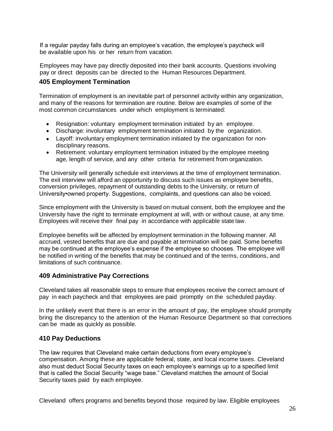If a regular payday falls during an employee's vacation, the employee's paycheck will be available upon his or her return from vacation.

Employees may have pay directly deposited into their bank accounts. Questions involving pay or direct deposits can be directed to the Human Resources Department.

#### **405 Employment Termination**

Termination of employment is an inevitable part of personnel activity within any organization, and many of the reasons for termination are routine. Below are examples of some of the most common circumstances under which employment is terminated:

- Resignation: voluntary employment termination initiated by an employee.
- Discharge: involuntary employment termination initiated by the organization.
- Layoff: involuntary employment termination initiated by the organization for nondisciplinary reasons.
- Retirement: voluntary employment termination initiated by the employee meeting age, length of service, and any other criteria for retirement from organization.

The University will generally schedule exit interviews at the time of employment termination. The exit interview will afford an opportunity to discuss such issues as employee benefits, conversion privileges, repayment of outstanding debts to the University, or return of University•owned property. Suggestions, complaints, and questions can also be voiced.

Since employment with the University is based on mutual consent, both the employee and the University have the right to terminate employment at will, with or without cause, at any time. Employees will receive their final pay in accordance with applicable state law.

Employee benefits will be affected by employment termination in the following manner. All accrued, vested benefits that are due and payable at termination will be paid. Some benefits may be continued at the employee's expense if the employee so chooses. The employee will be notified in writing of the benefits that may be continued and of the terms, conditions, and limitations of such continuance.

## **409 Administrative Pay Corrections**

Cleveland takes all reasonable steps to ensure that employees receive the correct amount of pay in each paycheck and that employees are paid promptly on the scheduled payday.

In the unlikely event that there is an error in the amount of pay, the employee should promptly bring the discrepancy to the attention of the Human Resource Department so that corrections can be made as quickly as possible.

## **410 Pay Deductions**

The law requires that Cleveland make certain deductions from every employee's compensation. Among these are applicable federal, state, and local income taxes. Cleveland also must deduct Social Security taxes on each employee's earnings up to a specified limit that is called the Social Security "wage base." Cleveland matches the amount of Social Security taxes paid by each employee.

Cleveland offers programs and benefits beyond those required by law. Eligible employees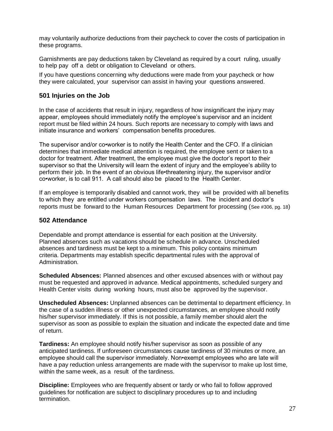may voluntarily authorize deductions from their paycheck to cover the costs of participation in these programs.

Garnishments are pay deductions taken by Cleveland as required by a court ruling, usually to help pay off a debt or obligation to Cleveland or others.

If you have questions concerning why deductions were made from your paycheck or how they were calculated, your supervisor can assist in having your questions answered.

# **501 Injuries on the Job**

In the case of accidents that result in injury, regardless of how insignificant the injury may appear, employees should immediately notify the employee's supervisor and an incident report must be filed within 24 hours. Such reports are necessary to comply with laws and initiate insurance and workers' compensation benefits procedures.

The supervisor and/or co•worker is to notify the Health Center and the CFO. If a clinician determines that immediate medical attention is required, the employee sent or taken to a doctor for treatment. After treatment, the employee must give the doctor's report to their supervisor so that the University will learn the extent of injury and the employee's ability to perform their job. In the event of an obvious life•threatening injury, the supervisor and/or co•worker, is to call 911. A call should also be placed to the Health Center.

If an employee is temporarily disabled and cannot work, they will be provided with all benefits to which they are entitled under workers compensation laws. The incident and doctor's reports must be forward to the Human Resources Department for processing (See #306, pg. 18)

## **502 Attendance**

Dependable and prompt attendance is essential for each position at the University. Planned absences such as vacations should be schedule in advance. Unscheduled absences and tardiness must be kept to a minimum. This policy contains minimum criteria. Departments may establish specific departmental rules with the approval of Administration.

**Scheduled Absences:** Planned absences and other excused absences with or without pay must be requested and approved in advance. Medical appointments, scheduled surgery and Health Center visits during working hours, must also be approved by the supervisor.

**Unscheduled Absences:** Unplanned absences can be detrimental to department efficiency. In the case of a sudden illness or other unexpected circumstances, an employee should notify his/her supervisor immediately. If this is not possible, a family member should alert the supervisor as soon as possible to explain the situation and indicate the expected date and time of return.

**Tardiness:** An employee should notify his/her supervisor as soon as possible of any anticipated tardiness. If unforeseen circumstances cause tardiness of 30 minutes or more, an employee should call the supervisor immediately. Non•exempt employees who are late will have a pay reduction unless arrangements are made with the supervisor to make up lost time, within the same week, as a result of the tardiness.

**Discipline:** Employees who are frequently absent or tardy or who fail to follow approved guidelines for notification are subject to disciplinary procedures up to and including termination.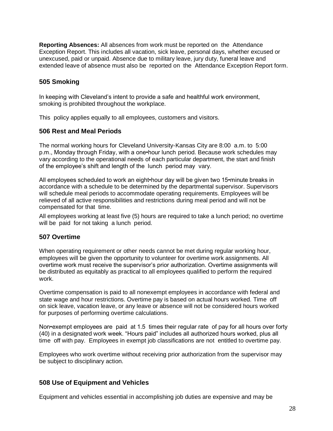**Reporting Absences:** All absences from work must be reported on the Attendance Exception Report. This includes all vacation, sick leave, personal days, whether excused or unexcused, paid or unpaid. Absence due to military leave, jury duty, funeral leave and extended leave of absence must also be reported on the Attendance Exception Report form.

## **505 Smoking**

In keeping with Cleveland's intent to provide a safe and healthful work environment, smoking is prohibited throughout the workplace.

This policy applies equally to all employees, customers and visitors.

## **506 Rest and Meal Periods**

The normal working hours for Cleveland University-Kansas City are 8:00 a.m. to 5:00 p.m., Monday through Friday, with a one•hour lunch period. Because work schedules may vary according to the operational needs of each particular department, the start and finish of the employee's shift and length of the lunch period may vary.

All employees scheduled to work an eight•hour day will be given two 15•minute breaks in accordance with a schedule to be determined by the departmental supervisor. Supervisors will schedule meal periods to accommodate operating requirements. Employees will be relieved of all active responsibilities and restrictions during meal period and will not be compensated for that time.

All employees working at least five (5) hours are required to take a lunch period; no overtime will be paid for not taking a lunch period.

## **507 Overtime**

When operating requirement or other needs cannot be met during regular working hour, employees will be given the opportunity to volunteer for overtime work assignments. All overtime work must receive the supervisor's prior authorization. Overtime assignments will be distributed as equitably as practical to all employees qualified to perform the required work.

Overtime compensation is paid to all nonexempt employees in accordance with federal and state wage and hour restrictions. Overtime pay is based on actual hours worked. Time off on sick leave, vacation leave, or any leave or absence will not be considered hours worked for purposes of performing overtime calculations.

Non•exempt employees are paid at 1.5 times their regular rate of pay for all hours over forty (40) in a designated work week. "Hours paid" includes all authorized hours worked, plus all time off with pay. Employees in exempt job classifications are not entitled to overtime pay.

Employees who work overtime without receiving prior authorization from the supervisor may be subject to disciplinary action.

## **508 Use of Equipment and Vehicles**

Equipment and vehicles essential in accomplishing job duties are expensive and may be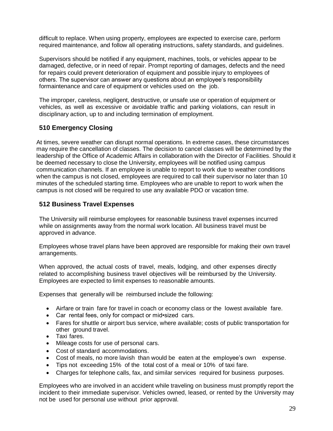difficult to replace. When using property, employees are expected to exercise care, perform required maintenance, and follow all operating instructions, safety standards, and guidelines.

Supervisors should be notified if any equipment, machines, tools, or vehicles appear to be damaged, defective, or in need of repair. Prompt reporting of damages, defects and the need for repairs could prevent deterioration of equipment and possible injury to employees of others. The supervisor can answer any questions about an employee's responsibility formaintenance and care of equipment or vehicles used on the job.

The improper, careless, negligent, destructive, or unsafe use or operation of equipment or vehicles, as well as excessive or avoidable traffic and parking violations, can result in disciplinary action, up to and including termination of employment.

# **510 Emergency Closing**

At times, severe weather can disrupt normal operations. In extreme cases, these circumstances may require the cancellation of classes. The decision to cancel classes will be determined by the leadership of the Office of Academic Affairs in collaboration with the Director of Facilities. Should it be deemed necessary to close the University, employees will be notified using campus communication channels. If an employee is unable to report to work due to weather conditions when the campus is not closed, employees are required to call their supervisor no later than 10 minutes of the scheduled starting time. Employees who are unable to report to work when the campus is not closed will be required to use any available PDO or vacation time.

# **512 Business Travel Expenses**

The University will reimburse employees for reasonable business travel expenses incurred while on assignments away from the normal work location. All business travel must be approved in advance.

Employees whose travel plans have been approved are responsible for making their own travel arrangements.

When approved, the actual costs of travel, meals, lodging, and other expenses directly related to accomplishing business travel objectives will be reimbursed by the University. Employees are expected to limit expenses to reasonable amounts.

Expenses that generally will be reimbursed include the following:

- Airfare or train fare for travel in coach or economy class or the lowest available fare.
- Car rental fees, only for compact or mid•sized cars.
- Fares for shuttle or airport bus service, where available; costs of public transportation for other ground travel.
- Taxi fares.
- Mileage costs for use of personal cars.
- Cost of standard accommodations.
- Cost of meals, no more lavish than would be eaten at the employee's own expense.
- Tips not exceeding 15% of the total cost of a meal or 10% of taxi fare.
- Charges for telephone calls, fax, and similar services required for business purposes.

Employees who are involved in an accident while traveling on business must promptly report the incident to their immediate supervisor. Vehicles owned, leased, or rented by the University may not be used for personal use without prior approval.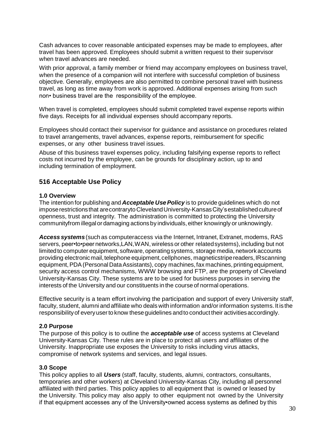Cash advances to cover reasonable anticipated expenses may be made to employees, after travel has been approved. Employees should submit a written request to their supervisor when travel advances are needed.

With prior approval, a family member or friend may accompany employees on business travel, when the presence of a companion will not interfere with successful completion of business objective. Generally, employees are also permitted to combine personal travel with business travel, as long as time away from work is approved. Additional expenses arising from such non• business travel are the responsibility of the employee.

When travel is completed, employees should submit completed travel expense reports within five days. Receipts for all individual expenses should accompany reports.

Employees should contact their supervisor for guidance and assistance on procedures related to travel arrangements, travel advances, expense reports, reimbursement for specific expenses, or any other business travel issues.

Abuse of this business travel expenses policy, including falsifying expense reports to reflect costs not incurred by the employee, can be grounds for disciplinary action, up to and including termination of employment.

## **516 Acceptable Use Policy**

#### **1.0 Overview**

The intention for publishing and *Acceptable UsePolicy* is to provide guidelines which do not imposerestrictionsthat arecontrarytoClevelandUniversity-KansasCity'sestablishedcultureof openness, trust and integrity. The administration is committed to protecting the University communityfrom illegalor damaging actionsby individuals, either knowingly or unknowingly.

**Access systems** (such as computeraccess via the Internet, Intranet, Extranet, modems, RAS servers, peer•to•peer networks, LAN, WAN, wireless or other related systems), including but not limited to computer equipment, software, operating systems, storage media, network accounts providing electronic mail, telephone equipment, cellphones, magneticstripe readers, IRscanning equipment, PDA (Personal Data Assistants), copy machines, fax machines, printing equipment, security access control mechanisms, WWW browsing and FTP, are the property of Cleveland University-Kansas City. These systems are to be used for business purposes in serving the interests of the University and our constituents in the course of normal operations.

Effective security is a team effort involving the participation and support of every University staff, faculty, student, alumni and affiliate who deals with information and/or information systems.It is the responsibility of every user to know these guidelines and to conduct their activities accordingly.

#### **2.0 Purpose**

The purpose of this policy is to outline the *acceptable use* of access systems at Cleveland University-Kansas City. These rules are in place to protect all users and affiliates of the University. Inappropriate use exposes the University to risks including virus attacks, compromise of network systems and services, and legal issues.

#### **3.0 Scope**

This policy applies to all *Users* (staff, faculty, students, alumni, contractors, consultants, temporaries and other workers) at Cleveland University-Kansas City, including all personnel affiliated with third parties. This policy applies to all equipment that is owned or leased by the University. This policy may also apply to other equipment not owned by the University if that equipment accesses any of the University•owned access systems as defined by this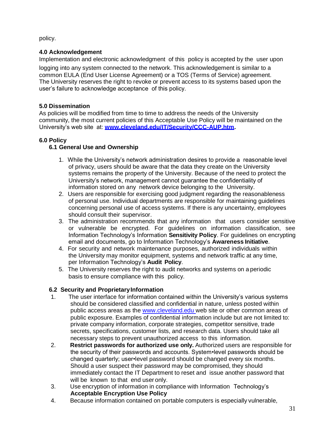policy.

# **4.0 Acknowledgement**

Implementation and electronic acknowledgment of this policy is accepted by the user upon

logging into any system connected to the network. This acknowledgement is similar to a common EULA (End User License Agreement) or a TOS (Terms of Service) agreement. The University reserves the right to revoke or prevent access to its systems based upon the user's failure to acknowledge acceptance of this policy.

# **5.0 Dissemination**

As policies will be modified from time to time to address the needs of the University community, the most current policies of this Acceptable Use Policy will be maintained on the University's web site at: **[www.cleveland.edu/IT/Security/CCC-AUP.htm.](http://www.cleveland.edu/IT/Security/CCC%C3%82%C2%ADAUP.htm)**

# **6.0 Policy**

# **6.1 General Use and Ownership**

- 1. While the University's network administration desires to provide a reasonable level of privacy, users should be aware that the data they create on the University systems remains the property of the University. Because of the need to protect the University's network, management cannot guarantee the confidentiality of information stored on any network device belonging to the University.
- 2. Users are responsible for exercising good judgment regarding the reasonableness of personal use. Individual departments are responsible for maintaining guidelines concerning personal use of access systems. If there is any uncertainty, employees should consult their supervisor.
- 3. The administration recommends that any information that users consider sensitive or vulnerable be encrypted. For guidelines on information classification, see Information Technology's Information **Sensitivity Policy**. For guidelines on encrypting email and documents, go to Information Technology's **Awareness Initiative**.
- 4. For security and network maintenance purposes, authorized individuals within the University may monitor equipment, systems and network traffic at any time, per Information Technology's **Audit Policy**.
- 5. The University reserves the right to audit networks and systems on a periodic basis to ensure compliance with this policy.

# **6.2 Security and ProprietaryInformation**

- 1. The user interface for information contained within the University's various systems should be considered classified and confidential in nature, unless posted within public access areas as the [www.cleveland.edu web](http://www.cleveland.eduweb/) site or other common areas of public exposure. Examples of confidential information include but are not limited to: private company information, corporate strategies, competitor sensitive, trade secrets, specifications, customer lists, and research data. Users should take all necessary steps to prevent unauthorized access to this information.
- 2. **Restrict passwords for authorized use only.** Authorized users are responsible for the security of their passwords and accounts. System•level passwords should be changed quarterly; user•level password should be changed every six months. Should a user suspect their password may be compromised, they should immediately contact the IT Department to reset and issue another password that will be known to that end user only.
- 3. Use encryption of information in compliance with Information Technology's **Acceptable Encryption Use Policy**
- 4. Because information contained on portable computers is especially vulnerable,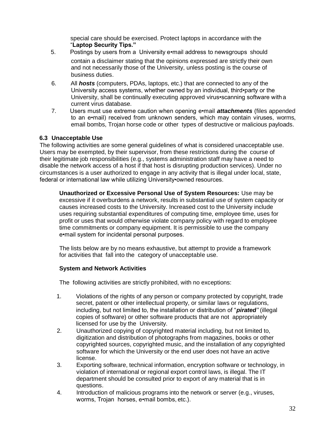special care should be exercised. Protect laptops in accordance with the "**Laptop Security Tips."**

- 5. Postings by users from a University e•mail address to newsgroups should contain a disclaimer stating that the opinions expressed are strictly their own and not necessarily those of the University, unless posting is the course of business duties.
- 6. All *hosts* (computers, PDAs, laptops, etc.) that are connected to any of the University access systems, whether owned by an individual, third•party or the University, shall be continually executing approved virus•scanning software with a current virus database.
- 7. Users must use extreme caution when opening e•mail *attachments* (files appended to an e•mail) received from unknown senders, which may contain viruses, worms. email bombs, Trojan horse code or other types of destructive or malicious payloads.

## **6.3 Unacceptable Use**

The following activities are some general guidelines of what is considered unacceptable use. Users may be exempted, by their supervisor, from these restrictions during the course of their legitimate job responsibilities (e.g., systems administration staff may have a need to disable the network access of a host if that host is disrupting production services). Under no circumstances is a user authorized to engage in any activity that is illegal under local, state, federal or international law while utilizing University•owned resources.

**Unauthorized or Excessive Personal Use of System Resources:** Use may be excessive if it overburdens a network, results in substantial use of system capacity or causes increased costs to the University. Increased cost to the University include uses requiring substantial expenditures of computing time, employee time, uses for profit or uses that would otherwise violate company policy with regard to employee time commitments or company equipment. It is permissible to use the company e•mail system for incidental personal purposes.

The lists below are by no means exhaustive, but attempt to provide a framework for activities that fall into the category of unacceptable use.

## **System and Network Activities**

The following activities are strictly prohibited, with no exceptions:

- 1. Violations of the rights of any person or company protected by copyright, trade secret, patent or other intellectual property, or similar laws or regulations, including, but not limited to, the installation or distribution of "*pirated"* (illegal copies of software) or other software products that are not appropriately licensed for use by the University.
- 2. Unauthorized copying of copyrighted material including, but not limited to, digitization and distribution of photographs from magazines, books or other copyrighted sources, copyrighted music, and the installation of any copyrighted software for which the University or the end user does not have an active license.
- 3. Exporting software, technical information, encryption software or technology, in violation of international or regional export control laws, is illegal. The IT department should be consulted prior to export of any material that is in questions.
- 4. Introduction of malicious programs into the network or server (e.g., viruses, worms, Trojan horses, e•mail bombs, etc.).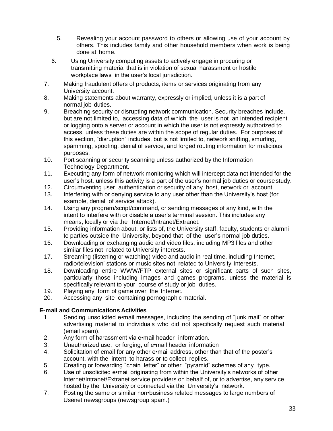- 5. Revealing your account password to others or allowing use of your account by others. This includes family and other household members when work is being done at home.
- 6. Using University computing assets to actively engage in procuring or transmitting material that is in violation of sexual harassment or hostile workplace laws in the user's local jurisdiction.
- 7. Making fraudulent offers of products, items or services originating from any University account.
- 8. Making statements about warranty, expressly or implied, unless it is a part of normal job duties.
- 9. Breaching security or disrupting network communication. Security breaches include, but are not limited to, accessing data of which the user is not an intended recipient or logging onto a server or account in which the user is not expressly authorized to access, unless these duties are within the scope of regular duties. For purposes of this section, "disruption" includes, but is not limited to, network sniffing, smurfing, spamming, spoofing, denial of service, and forged routing information for malicious purposes.
- 10. Port scanning or security scanning unless authorized by the Information Technology Department.
- 11. Executing any form of network monitoring which will intercept data not intended for the user's host, unless this activity is a part of the user's normal job duties or course study.
- 12. Circumventing user authentication or security of any host, network or account.
- 13. Interfering with or denying service to any user other than the University's host (for example, denial of service attack).
- 14. Using any program/script/command, or sending messages of any kind, with the intent to interfere with or disable a user's terminal session. This includes any means, locally or via the Internet/Intranet/Extranet.
- 15. Providing information about, or lists of, the University staff, faculty, students or alumni to parties outside the University, beyond that of the user's normal job duties.
- 16. Downloading or exchanging audio and video files, including MP3 files and other similar files not related to University interests.
- 17. Streaming (listening or watching) video and audio in real time, including Internet, radio/television' stations or music sites not related to University interests.
- 18. Downloading entire WWW/FTP external sites or significant parts of such sites, particularly those including images and games programs, unless the material is specifically relevant to your course of study or job duties.
- 19. Playing any form of game over the Internet.
- 20. Accessing any site containing pornographic material.

## **E-mail and Communications Activities**

- 1. Sending unsolicited e•mail messages, including the sending of "junk mail" or other advertising material to individuals who did not specifically request such material (email spam).
- 2. Any form of harassment via e•mail header information.
- 3. Unauthorized use, or forging, of e•mail header information
- 4. Solicitation of email for any other e•mail address, other than that of the poster's account, with the intent to harass or to collect replies.
- 5. Creating or forwarding "chain letter" or other "pyramid" schemes of any type.
- 6. Use of unsolicited e•mail originating from within the University's networks of other Internet/Intranet/Extranet service providers on behalf of, or to advertise, any service hosted by the University or connected via the University's network.
- 7. Posting the same or similar non•business related messages to large numbers of Usenet newsgroups (newsgroup spam.)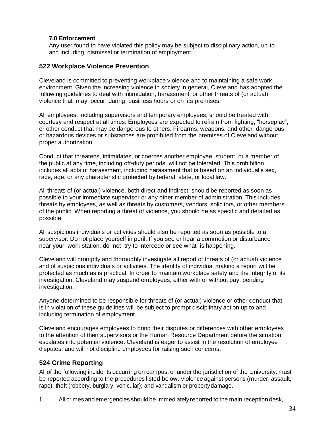## **7.0 Enforcement**

Any user found to have violated this policy may be subject to disciplinary action, up to and including dismissal or termination of employment.

## **522 Workplace Violence Prevention**

Cleveland is committed to preventing workplace violence and to maintaining a safe work environment. Given the increasing violence in society in general, Cleveland has adopted the following guidelines to deal with intimidation, harassment, or other threats of (or actual) violence that may occur during business hours or on its premises.

All employees, including supervisors and temporary employees, should be treated with courtesy and respect at all times. Employees are expected to refrain from fighting, "horseplay", or other conduct that may be dangerous to others. Firearms, weapons, and other dangerous or hazardous devices or substances are prohibited from the premises of Cleveland without proper authorization.

Conduct that threatens, intimidates, or coerces another employee, student, or a member of the public at any time, including off•duty periods, will not be tolerated. This prohibition includes all acts of harassment, including harassment that is based on an individual's sex, race, age, or any characteristic protected by federal, state, or local law.

All threats of (or actual) violence, both direct and indirect, should be reported as soon as possible to your immediate supervisor or any other member of administration. This includes threats by employees, as well as threats by customers, vendors, solicitors, or other members of the public. When reporting a threat of violence, you should be as specific and detailed as possible.

All suspicious individuals or activities should also be reported as soon as possible to a supervisor. Do not place yourself in peril. If you see or hear a commotion or disturbance near your work station, do not try to intercede or see what is happening.

Cleveland will promptly and thoroughly investigate all report of threats of (or actual) violence and of suspicious individuals or activities. The identify of individual making a report will be protected as much as is practical. In order to maintain workplace safety and the integrity of its investigation, Cleveland may suspend employees, either with or without pay, pending investigation.

Anyone determined to be responsible for threats of (or actual) violence or other conduct that is in violation of these guidelines will be subject to prompt disciplinary action up to and including termination of employment.

Cleveland encourages employees to bring their disputes or differences with other employees to the attention of their supervisors or the Human Resource Department before the situation escalates into potential violence. Cleveland is eager to assist in the resolution of employee disputes, and will not discipline employees for raising such concerns.

## **524 Crime Reporting**

All of the following incidents occurring on campus, or under the jurisdiction of the University, must be reported according to the procedures listed below: violence against persons (murder, assault, rape); theft (robbery, burglary, vehicular); and vandalism or propertydamage.

1. All crimes andemergencies shouldbe immediatelyreported to the main reception desk,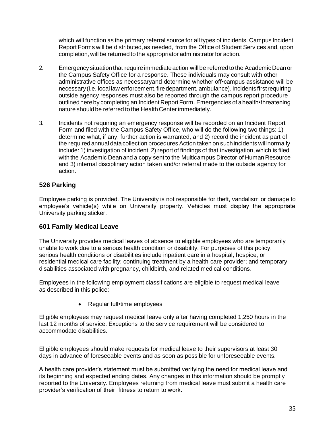which will function as the primary referral source for all types of incidents. Campus Incident Report Forms will be distributed, as needed, from the Office of Student Services and, upon completion, will be returned to the appropriator administrator for action.

- 2. Emergency situationthat require immediateaction will be referredto the AcademicDeanor the Campus Safety Office for a response. These individuals may consult with other administrative offices as necessaryand determine whether off•campus assistance will be necessary(i.e. local law enforcement, firedepartment, ambulance). Incidents firstrequiring outside agency responses must also be reported through the campus report procedure outlined here by completing an Incident Report Form. Emergencies of a health•threatening nature should be referred to the Health Center immediately.
- 3. Incidents not requiring an emergency response will be recorded on an Incident Report Form and filed with the Campus Safety Office, who will do the following two things: 1) determine what, if any, further action is warranted, and 2) record the incident as part of the required annual datacollection procedures Action taken on suchincidents willnormally include: 1) investigation of incident, 2) report of findings of that investigation,which is filed with the Academic Dean and a copy sent to the Multicampus Director of Human Resource and 3) internal disciplinary action taken and/or referral made to the outside agency for action.

# **526 Parking**

Employee parking is provided. The University is not responsible for theft, vandalism or damage to employee's vehicle(s) while on University property. Vehicles must display the appropriate University parking sticker.

# **601 Family Medical Leave**

The University provides medical leaves of absence to eligible employees who are temporarily unable to work due to a serious health condition or disability. For purposes of this policy, serious health conditions or disabilities include inpatient care in a hospital, hospice, or residential medical care facility; continuing treatment by a health care provider; and temporary disabilities associated with pregnancy, childbirth, and related medical conditions.

Employees in the following employment classifications are eligible to request medical leave as described in this police:

• Regular full•time employees

Eligible employees may request medical leave only after having completed 1,250 hours in the last 12 months of service. Exceptions to the service requirement will be considered to accommodate disabilities.

Eligible employees should make requests for medical leave to their supervisors at least 30 days in advance of foreseeable events and as soon as possible for unforeseeable events.

A health care provider's statement must be submitted verifying the need for medical leave and its beginning and expected ending dates. Any changes in this information should be promptly reported to the University. Employees returning from medical leave must submit a health care provider's verification of their fitness to return to work.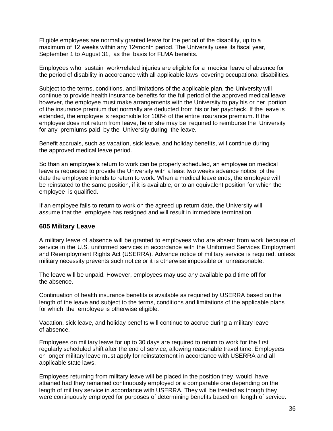Eligible employees are normally granted leave for the period of the disability, up to a maximum of 12 weeks within any 12•month period. The University uses its fiscal year, September 1 to August 31, as the basis for FLMA benefits.

Employees who sustain work•related injuries are eligible for a medical leave of absence for the period of disability in accordance with all applicable laws covering occupational disabilities.

Subject to the terms, conditions, and limitations of the applicable plan, the University will continue to provide health insurance benefits for the full period of the approved medical leave; however, the employee must make arrangements with the University to pay his or her portion of the insurance premium that normally are deducted from his or her paycheck. If the leave is extended, the employee is responsible for 100% of the entire insurance premium. If the employee does not return from leave, he or she may be required to reimburse the University for any premiums paid by the University during the leave.

Benefit accruals, such as vacation, sick leave, and holiday benefits, will continue during the approved medical leave period.

So than an employee's return to work can be properly scheduled, an employee on medical leave is requested to provide the University with a least two weeks advance notice of the date the employee intends to return to work. When a medical leave ends, the employee will be reinstated to the same position, if it is available, or to an equivalent position for which the employee is qualified.

If an employee fails to return to work on the agreed up return date, the University will assume that the employee has resigned and will result in immediate termination.

## **605 Military Leave**

A military leave of absence will be granted to employees who are absent from work because of service in the U.S. uniformed services in accordance with the Uniformed Services Employment and Reemployment Rights Act (USERRA). Advance notice of military service is required, unless military necessity prevents such notice or it is otherwise impossible or unreasonable.

The leave will be unpaid. However, employees may use any available paid time off for the absence.

Continuation of health insurance benefits is available as required by USERRA based on the length of the leave and subject to the terms, conditions and limitations of the applicable plans for which the employee is otherwise eligible.

Vacation, sick leave, and holiday benefits will continue to accrue during a military leave of absence.

Employees on military leave for up to 30 days are required to return to work for the first regularly scheduled shift after the end of service, allowing reasonable travel time. Employees on longer military leave must apply for reinstatement in accordance with USERRA and all applicable state laws.

Employees returning from military leave will be placed in the position they would have attained had they remained continuously employed or a comparable one depending on the length of military service in accordance with USERRA. They will be treated as though they were continuously employed for purposes of determining benefits based on length of service.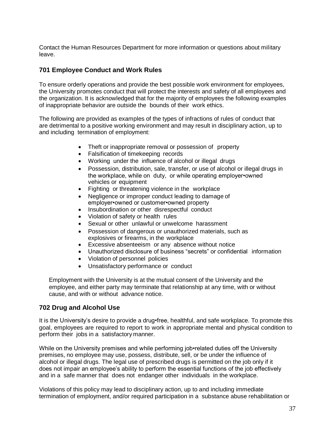Contact the Human Resources Department for more information or questions about military leave.

## **701 Employee Conduct and Work Rules**

To ensure orderly operations and provide the best possible work environment for employees, the University promotes conduct that will protect the interests and safety of all employees and the organization. It is acknowledged that for the majority of employees the following examples of inappropriate behavior are outside the bounds of their work ethics.

The following are provided as examples of the types of infractions of rules of conduct that are detrimental to a positive working environment and may result in disciplinary action, up to and including termination of employment:

- Theft or inappropriate removal or possession of property
- Falsification of timekeeping records
- Working under the influence of alcohol or illegal drugs
- Possession, distribution, sale, transfer, or use of alcohol or illegal drugs in the workplace, while on duty, or while operating employer•owned vehicles or equipment
- Fighting or threatening violence in the workplace
- Negligence or improper conduct leading to damage of employer•owned or customer•owned property
- Insubordination or other disrespectful conduct
- Violation of safety or health rules
- Sexual or other unlawful or unwelcome harassment
- Possession of dangerous or unauthorized materials, such as explosives or firearms, in the workplace
- Excessive absenteeism or any absence without notice
- Unauthorized disclosure of business "secrets" or confidential information
- Violation of personnel policies
- Unsatisfactory performance or conduct

Employment with the University is at the mutual consent of the University and the employee, and either party may terminate that relationship at any time, with or without cause, and with or without advance notice.

## **702 Drug and Alcohol Use**

It is the University's desire to provide a drug•free, healthful, and safe workplace. To promote this goal, employees are required to report to work in appropriate mental and physical condition to perform their jobs in a satisfactory manner.

While on the University premises and while performing job•related duties off the University premises, no employee may use, possess, distribute, sell, or be under the influence of alcohol or illegal drugs. The legal use of prescribed drugs is permitted on the job only if it does not impair an employee's ability to perform the essential functions of the job effectively and in a safe manner that does not endanger other individuals in the workplace.

Violations of this policy may lead to disciplinary action, up to and including immediate termination of employment, and/or required participation in a substance abuse rehabilitation or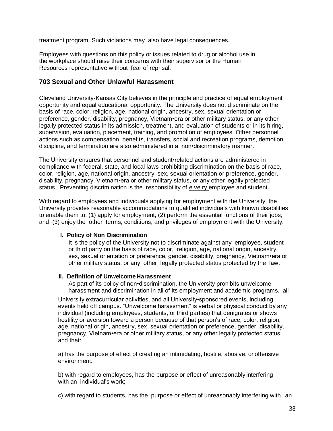treatment program. Such violations may also have legal consequences.

Employees with questions on this policy or issues related to drug or alcohol use in the workplace should raise their concerns with their supervisor or the Human Resources representative without fear of reprisal.

## **703 Sexual and Other Unlawful Harassment**

Cleveland University-Kansas City believes in the principle and practice of equal employment opportunity and equal educational opportunity. The University does not discriminate on the basis of race, color, religion, age, national origin, ancestry, sex, sexual orientation or preference, gender, disability, pregnancy, Vietnam•era or other military status, or any other legally protected status in its admission, treatment, and evaluation of students or in its hiring, supervision, evaluation, placement, training, and promotion of employees. Other personnel actions such as compensation, benefits, transfers, social and recreation programs, demotion, discipline, and termination are also administered in a non•discriminatory manner.

The University ensures that personnel and student•related actions are administered in compliance with federal, state, and local laws prohibiting discrimination on the basis of race, color, religion, age, national origin, ancestry, sex, sexual orientation or preference, gender, disability, pregnancy, Vietnam•era or other military status, or any other legally protected status. Preventing discrimination is the responsibility of e ve ry employee and student.

With regard to employees and individuals applying for employment with the University, the University provides reasonable accommodations to qualified individuals with known disabilities to enable them to: (1) apply for employment; (2) perform the essential functions of their jobs; and (3) enjoy the other terms, conditions, and privileges of employment with the University.

## **I. Policy of Non Discrimination**

It is the policy of the University not to discriminate against any employee, student or third party on the basis of race, color, religion, age, national origin, ancestry, sex, sexual orientation or preference, gender, disability, pregnancy, Vietnam•era or other military status, or any other legally protected status protected by the law.

## **II. Definition of UnwelcomeHarassment**

As part of its policy of non•discrimination, the University prohibits unwelcome harassment and discrimination in all of its employment and academic programs, all

University extracurricular activities, and all University•sponsored events, including events held off campus. "Unwelcome harassment" is verbal or physical conduct by any individual (including employees, students, or third parties) that denigrates or shows hostility or aversion toward a person because of that person's of race, color, religion, age, national origin, ancestry, sex, sexual orientation or preference, gender, disability, pregnancy, Vietnam•era or other military status, or any other legally protected status, and that:

a) has the purpose of effect of creating an intimidating, hostile, abusive, or offensive environment:

b) with regard to employees, has the purpose or effect of unreasonably interfering with an individual's work;

c) with regard to students, has the purpose or effect of unreasonably interfering with an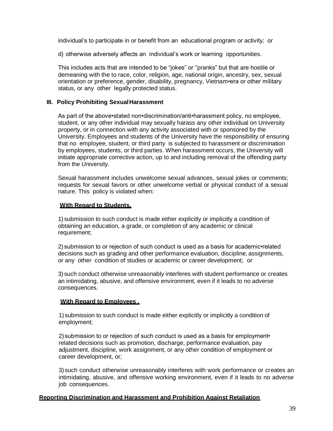individual's to participate in or benefit from an educational program or activity; or

d) otherwise adversely affects an individual's work or learning opportunities.

This includes acts that are intended to be "jokes" or "pranks" but that are hostile or demeaning with the to race, color, religion, age, national origin, ancestry, sex, sexual orientation or preference, gender, disability, pregnancy, Vietnam•era or other military status, or any other legally protected status.

## **III. Policy Prohibiting SexualHarassment**

As part of the above•stated non•discrimination/anti•harassment policy, no employee, student, or any other individual may sexually harass any other individual on University property, or in connection with any activity associated with or sponsored by the University. Employees and students of the University have the responsibility of ensuring that no employee, student, or third party is subjected to harassment or discrimination by employees, students, or third parties. When harassment occurs, the University will initiate appropriate corrective action, up to and including removal of the offending party from the University.

Sexual harassment includes unwelcome sexual advances, sexual jokes or comments; requests for sexual favors or other unwelcome verbal or physical conduct of a sexual nature. This policy is violated when:

## **With Regard to Students,**

1) submission to such conduct is made either explicitly or implicitly a condition of obtaining an education, a grade, or completion of any academic or clinical requirement;

2) submission to or rejection of such conduct is used as a basis for academic•related decisions such as grading and other performance evaluation, discipline, assignments, or any other condition of studies or academic or career development; or

3) such conduct otherwise unreasonably interferes with student performance or creates an intimidating, abusive, and offensive environment, even if it leads to no adverse consequences.

## **With Regard to Employees ,**

1) submission to such conduct is made either explicitly or implicitly a condition of employment;

2) submission to or rejection of such conduct is used as a basis for employment• related decisions such as promotion, discharge, performance evaluation, pay adjustment, discipline, work assignment, or any other condition of employment or career development, or;

3) such conduct otherwise unreasonably interferes with work performance or creates an intimidating, abusive, and offensive working environment, even if it leads to no adverse job consequences.

## **Reporting Discrimination and Harassment and Prohibition Against Retaliation**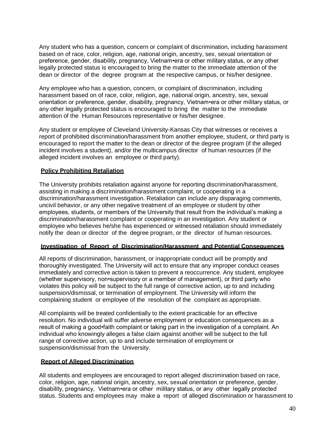Any student who has a question, concern or complaint of discrimination, including harassment based on of race, color, religion, age, national origin, ancestry, sex, sexual orientation or preference, gender, disability, pregnancy, Vietnam•era or other military status, or any other legally protected status is encouraged to bring the matter to the immediate attention of the dean or director of the degree program at the respective campus, or his/her designee.

Any employee who has a question, concern, or complaint of discrimination, including harassment based on of race, color, religion, age, national origin, ancestry, sex, sexual orientation or preference, gender, disability, pregnancy, Vietnam•era or other military status, or any other legally protected status is encouraged to bring the matter to the immediate attention of the Human Resources representative or his/her designee.

Any student or employee of Cleveland University-Kansas City that witnesses or receives a report of prohibited discrimination/harassment from another employee, student, or third party is encouraged to report the matter to the dean or director of the degree program (if the alleged incident involves a student), and/or the multicampus director of human resources (if the alleged incident involves an employee or third party).

#### **Policy Prohibiting Retaliation**

The University prohibits retaliation against anyone for reporting discrimination/harassment, assisting in making a discrimination/harassment complaint, or cooperating in a discrimination/harassment investigation. Retaliation can include any disparaging comments, uncivil behavior, or any other negative treatment of an employee or student by other employees, students, or members of the University that result from the individual's making a discrimination/harassment complaint or cooperating in an investigation. Any student or employee who believes he/she has experienced or witnessed retaliation should immediately notify the dean or director of the degree program, or the director of human resources.

#### **Investigation of Report of Discrimination/Harassment and Potential Consequences**

All reports of discrimination, harassment, or inappropriate conduct will be promptly and thoroughly investigated. The University will act to ensure that any improper conduct ceases immediately and corrective action is taken to prevent a reoccurrence. Any student, employee (whether supervisory, non•supervisory or a member of management), or third party who violates this policy will be subject to the full range of corrective action, up to and including suspension/dismissal, or termination of employment. The University will inform the complaining student or employee of the resolution of the complaint as appropriate.

All complaints will be treated confidentially to the extent practicable for an effective resolution. No individual will suffer adverse employment or education consequences as a result of making a good•faith complaint or taking part in the investigation of a complaint. An individual who knowingly alleges a false claim against another will be subject to the full range of corrective action, up to and include termination of employment or suspension/dismissal from the University.

#### **Report of Alleged Discrimination**

All students and employees are encouraged to report alleged discrimination based on race, color, religion, age, national origin, ancestry, sex, sexual orientation or preference, gender, disability, pregnancy, Vietnam•era or other military status, or any other legally protected status. Students and employees may make a report of alleged discrimination or harassment to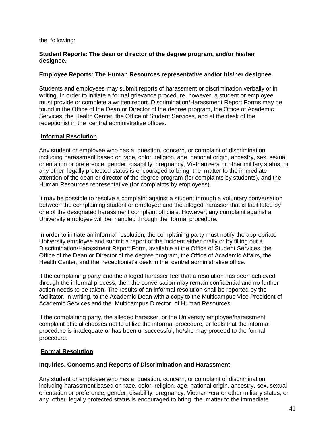the following:

## **Student Reports: The dean or director of the degree program, and/or his/her designee.**

## **Employee Reports: The Human Resources representative and/or his/her designee.**

Students and employees may submit reports of harassment or discrimination verbally or in writing. In order to initiate a formal grievance procedure, however, a student or employee must provide or complete a written report. Discrimination/Harassment Report Forms may be found in the Office of the Dean or Director of the degree program, the Office of Academic Services, the Health Center, the Office of Student Services, and at the desk of the receptionist in the central administrative offices.

#### **Informal Resolution**

Any student or employee who has a question, concern, or complaint of discrimination, including harassment based on race, color, religion, age, national origin, ancestry, sex, sexual orientation or preference, gender, disability, pregnancy, Vietnam•era or other military status, or any other legally protected status is encouraged to bring the matter to the immediate attention of the dean or director of the degree program (for complaints by students), and the Human Resources representative (for complaints by employees).

It may be possible to resolve a complaint against a student through a voluntary conversation between the complaining student or employee and the alleged harasser that is facilitated by one of the designated harassment complaint officials. However, any complaint against a University employee will be handled through the formal procedure.

In order to initiate an informal resolution, the complaining party must notify the appropriate University employee and submit a report of the incident either orally or by filling out a Discrimination/Harassment Report Form, available at the Office of Student Services, the Office of the Dean or Director of the degree program, the Office of Academic Affairs, the Health Center, and the receptionist's desk in the central administrative office.

If the complaining party and the alleged harasser feel that a resolution has been achieved through the informal process, then the conversation may remain confidential and no further action needs to be taken. The results of an informal resolution shall be reported by the facilitator, in writing, to the Academic Dean with a copy to the Multicampus Vice President of Academic Services and the Multicampus Director of Human Resources.

If the complaining party, the alleged harasser, or the University employee/harassment complaint official chooses not to utilize the informal procedure, or feels that the informal procedure is inadequate or has been unsuccessful, he/she may proceed to the formal procedure.

## **Formal Resolution**

## **Inquiries, Concerns and Reports of Discrimination and Harassment**

Any student or employee who has a question, concern, or complaint of discrimination, including harassment based on race, color, religion, age, national origin, ancestry, sex, sexual orientation or preference, gender, disability, pregnancy, Vietnam•era or other military status, or any other legally protected status is encouraged to bring the matter to the immediate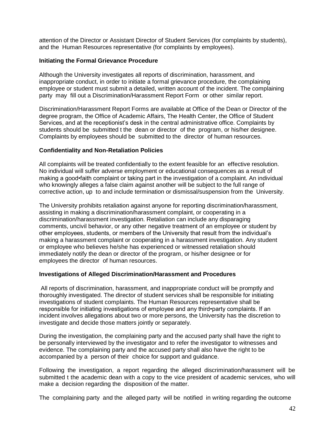attention of the Director or Assistant Director of Student Services (for complaints by students), and the Human Resources representative (for complaints by employees).

## **Initiating the Formal Grievance Procedure**

Although the University investigates all reports of discrimination, harassment, and inappropriate conduct, in order to initiate a formal grievance procedure, the complaining employee or student must submit a detailed, written account of the incident. The complaining party may fill out a Discrimination/Harassment Report Form or other similar report.

Discrimination/Harassment Report Forms are available at Office of the Dean or Director of the degree program, the Office of Academic Affairs, The Health Center, the Office of Student Services, and at the receptionist's desk in the central administrative office. Complaints by students should be submitted t the dean or director of the program, or his/her designee. Complaints by employees should be submitted to the director of human resources.

#### **Confidentiality and Non-Retaliation Policies**

All complaints will be treated confidentially to the extent feasible for an effective resolution. No individual will suffer adverse employment or educational consequences as a result of making a good•faith complaint or taking part in the investigation of a complaint. An individual who knowingly alleges a false claim against another will be subject to the full range of corrective action, up to and include termination or dismissal/suspension from the University.

The University prohibits retaliation against anyone for reporting discrimination/harassment, assisting in making a discrimination/harassment complaint, or cooperating in a discrimination/harassment investigation. Retaliation can include any disparaging comments, uncivil behavior, or any other negative treatment of an employee or student by other employees, students, or members of the University that result from the individual's making a harassment complaint or cooperating in a harassment investigation. Any student or employee who believes he/she has experienced or witnessed retaliation should immediately notify the dean or director of the program, or his/her designee or for employees the director of human resources.

#### **Investigations of Alleged Discrimination/Harassment and Procedures**

All reports of discrimination, harassment, and inappropriate conduct will be promptly and thoroughly investigated. The director of student services shall be responsible for initiating investigations of student complaints. The Human Resources representative shall be responsible for initiating investigations of employee and any third•party complaints. If an incident involves allegations about two or more persons, the University has the discretion to investigate and decide those matters jointly or separately.

During the investigation, the complaining party and the accused party shall have the right to be personally interviewed by the investigator and to refer the investigator to witnesses and evidence. The complaining party and the accused party shall also have the right to be accompanied by a person of their choice for support and guidance.

Following the investigation, a report regarding the alleged discrimination/harassment will be submitted t the academic dean with a copy to the vice president of academic services, who will make a decision regarding the disposition of the matter.

The complaining party and the alleged party will be notified in writing regarding the outcome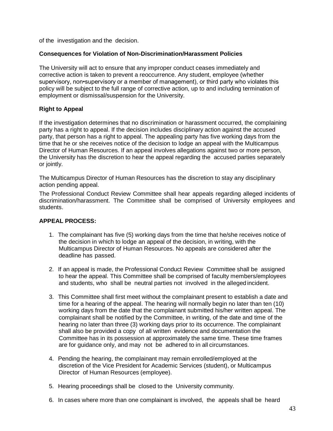of the investigation and the decision.

## **Consequences for Violation of Non-Discrimination/Harassment Policies**

The University will act to ensure that any improper conduct ceases immediately and corrective action is taken to prevent a reoccurrence. Any student, employee (whether supervisory, non•supervisory or a member of management), or third party who violates this policy will be subject to the full range of corrective action, up to and including termination of employment or dismissal/suspension for the University.

## **Right to Appeal**

If the investigation determines that no discrimination or harassment occurred, the complaining party has a right to appeal. If the decision includes disciplinary action against the accused party, that person has a right to appeal. The appealing party has five working days from the time that he or she receives notice of the decision to lodge an appeal with the Multicampus Director of Human Resources. If an appeal involves allegations against two or more person, the University has the discretion to hear the appeal regarding the accused parties separately or jointly.

The Multicampus Director of Human Resources has the discretion to stay any disciplinary action pending appeal.

The Professional Conduct Review Committee shall hear appeals regarding alleged incidents of discrimination/harassment. The Committee shall be comprised of University employees and students.

## **APPEAL PROCESS:**

- 1. The complainant has five (5) working days from the time that he/she receives notice of the decision in which to lodge an appeal of the decision, in writing, with the Multicampus Director of Human Resources. No appeals are considered after the deadline has passed.
- 2. If an appeal is made, the Professional Conduct Review Committee shall be assigned to hear the appeal. This Committee shall be comprised of faculty members/employees and students, who shall be neutral parties not involved in the alleged incident.
- 3. This Committee shall first meet without the complainant present to establish a date and time for a hearing of the appeal. The hearing will normally begin no later than ten (10) working days from the date that the complainant submitted his/her written appeal. The complainant shall be notified by the Committee, in writing, of the date and time of the hearing no later than three (3) working days prior to its occurrence. The complainant shall also be provided a copy of all written evidence and documentation the Committee has in its possession at approximately the same time. These time frames are for guidance only, and may not be adhered to in all circumstances.
- 4. Pending the hearing, the complainant may remain enrolled/employed at the discretion of the Vice President for Academic Services (student), or Multicampus Director of Human Resources (employee).
- 5. Hearing proceedings shall be closed to the University community.
- 6. In cases where more than one complainant is involved, the appeals shall be heard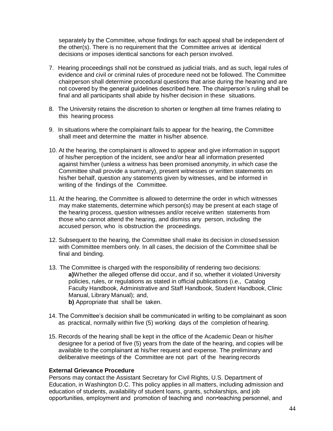separately by the Committee, whose findings for each appeal shall be independent of the other(s). There is no requirement that the Committee arrives at identical decisions or imposes identical sanctions for each person involved.

- 7. Hearing proceedings shall not be construed as judicial trials, and as such, legal rules of evidence and civil or criminal rules of procedure need not be followed. The Committee chairperson shall determine procedural questions that arise during the hearing and are not covered by the general guidelines described here. The chairperson's ruling shall be final and all participants shall abide by his/her decision in these situations.
- 8. The University retains the discretion to shorten or lengthen all time frames relating to this hearing process
- 9. In situations where the complainant fails to appear for the hearing, the Committee shall meet and determine the matter in his/her absence.
- 10. At the hearing, the complainant is allowed to appear and give information in support of his/her perception of the incident, see and/or hear all information presented against him/her (unless a witness has been promised anonymity, in which case the Committee shall provide a summary), present witnesses or written statements on his/her behalf, question any statements given by witnesses, and be informed in writing of the findings of the Committee.
- 11. At the hearing, the Committee is allowed to determine the order in which witnesses may make statements, determine which person(s) may be present at each stage of the hearing process, question witnesses and/or receive written statements from those who cannot attend the hearing, and dismiss any person, including the accused person, who is obstruction the proceedings.
- 12. Subsequent to the hearing, the Committee shall make its decision in closedsession with Committee members only. In all cases, the decision of the Committee shall be final and binding.
- 13. The Committee is charged with the responsibility of rendering two decisions: **a)**Whether the alleged offense did occur, and if so, whether it violated University policies, rules, or regulations as stated in official publications (i.e., Catalog Faculty Handbook, Administrative and Staff Handbook, Student Handbook, Clinic Manual, Library Manual); and, **b)** Appropriate that shall be taken.
- 14. The Committee's decision shall be communicated in writing to be complainant as soon as practical, normally within five (5) working days of the completion of hearing.
- 15. Records of the hearing shall be kept in the office of the Academic Dean or his/her designee for a period of five (5) years from the date of the hearing, and copies will be available to the complainant at his/her request and expense. The preliminary and deliberative meetings of the Committee are not part of the hearing records

## **External Grievance Procedure**

Persons may contact the Assistant Secretary for Civil Rights, U.S. Department of Education, in Washington D.C. This policy applies in all matters, including admission and education of students, availability of student loans, grants, scholarships, and job opportunities, employment and promotion of teaching and non•teaching personnel, and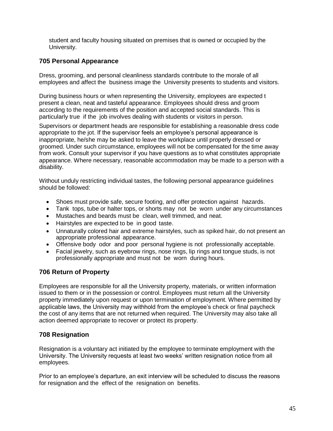student and faculty housing situated on premises that is owned or occupied by the University.

# **705 Personal Appearance**

Dress, grooming, and personal cleanliness standards contribute to the morale of all employees and affect the business image the University presents to students and visitors.

During business hours or when representing the University, employees are expected t present a clean, neat and tasteful appearance. Employees should dress and groom according to the requirements of the position and accepted social standards. This is particularly true if the job involves dealing with students or visitors in person.

Supervisors or department heads are responsible for establishing a reasonable dress code appropriate to the jot. If the supervisor feels an employee's personal appearance is inappropriate, he/she may be asked to leave the workplace until properly dressed or groomed. Under such circumstance, employees will not be compensated for the time away from work. Consult your supervisor if you have questions as to what constitutes appropriate appearance. Where necessary, reasonable accommodation may be made to a person with a disability.

Without unduly restricting individual tastes, the following personal appearance guidelines should be followed:

- Shoes must provide safe, secure footing, and offer protection against hazards.
- Tank tops, tube or halter tops, or shorts may not be worn under any circumstances
- Mustaches and beards must be clean, well trimmed, and neat.
- Hairstyles are expected to be in good taste.
- Unnaturally colored hair and extreme hairstyles, such as spiked hair, do not present an appropriate professional appearance.
- Offensive body odor and poor personal hygiene is not professionally acceptable.
- Facial jewelry, such as eyebrow rings, nose rings, lip rings and tongue studs, is not professionally appropriate and must not be worn during hours.

## **706 Return of Property**

Employees are responsible for all the University property, materials, or written information issued to them or in the possession or control. Employees must return all the University property immediately upon request or upon termination of employment. Where permitted by applicable laws, the University may withhold from the employee's check or final paycheck the cost of any items that are not returned when required. The University may also take all action deemed appropriate to recover or protect its property.

## **708 Resignation**

Resignation is a voluntary act initiated by the employee to terminate employment with the University. The University requests at least two weeks' written resignation notice from all employees.

Prior to an employee's departure, an exit interview will be scheduled to discuss the reasons for resignation and the effect of the resignation on benefits.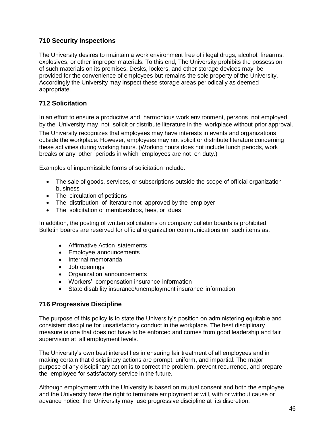# **710 Security Inspections**

The University desires to maintain a work environment free of illegal drugs, alcohol, firearms, explosives, or other improper materials. To this end, The University prohibits the possession of such materials on its premises. Desks, lockers, and other storage devices may be provided for the convenience of employees but remains the sole property of the University. Accordingly the University may inspect these storage areas periodically as deemed appropriate.

# **712 Solicitation**

In an effort to ensure a productive and harmonious work environment, persons not employed by the University may not solicit or distribute literature in the workplace without prior approval. The University recognizes that employees may have interests in events and organizations outside the workplace. However, employees may not solicit or distribute literature concerning these activities during working hours. (Working hours does not include lunch periods, work breaks or any other periods in which employees are not on duty.)

Examples of impermissible forms of solicitation include:

- The sale of goods, services, or subscriptions outside the scope of official organization business
- The circulation of petitions
- The distribution of literature not approved by the employer
- The solicitation of memberships, fees, or dues

In addition, the posting of written solicitations on company bulletin boards is prohibited. Bulletin boards are reserved for official organization communications on such items as:

- Affirmative Action statements
- Employee announcements
- Internal memoranda
- Job openings
- Organization announcements
- Workers' compensation insurance information
- State disability insurance/unemployment insurance information

## **716 Progressive Discipline**

The purpose of this policy is to state the University's position on administering equitable and consistent discipline for unsatisfactory conduct in the workplace. The best disciplinary measure is one that does not have to be enforced and comes from good leadership and fair supervision at all employment levels.

The University's own best interest lies in ensuring fair treatment of all employees and in making certain that disciplinary actions are prompt, uniform, and impartial. The major purpose of any disciplinary action is to correct the problem, prevent recurrence, and prepare the employee for satisfactory service in the future.

Although employment with the University is based on mutual consent and both the employee and the University have the right to terminate employment at will, with or without cause or advance notice, the University may use progressive discipline at its discretion.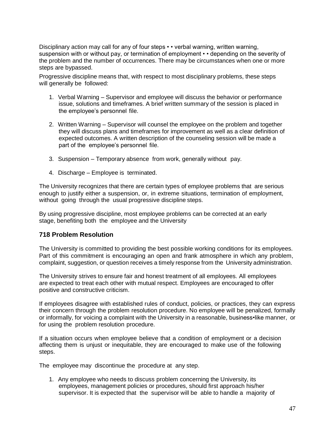Disciplinary action may call for any of four steps • • verbal warning, written warning, suspension with or without pay, or termination of employment • • depending on the severity of the problem and the number of occurrences. There may be circumstances when one or more steps are bypassed.

Progressive discipline means that, with respect to most disciplinary problems, these steps will generally be followed:

- 1. Verbal Warning Supervisor and employee will discuss the behavior or performance issue, solutions and timeframes. A brief written summary of the session is placed in the employee's personnel file.
- 2. Written Warning Supervisor will counsel the employee on the problem and together they will discuss plans and timeframes for improvement as well as a clear definition of expected outcomes. A written description of the counseling session will be made a part of the employee's personnel file.
- 3. Suspension Temporary absence from work, generally without pay.
- 4. Discharge Employee is terminated.

The University recognizes that there are certain types of employee problems that are serious enough to justify either a suspension, or, in extreme situations, termination of employment, without going through the usual progressive discipline steps.

By using progressive discipline, most employee problems can be corrected at an early stage, benefiting both the employee and the University

## **718 Problem Resolution**

The University is committed to providing the best possible working conditions for its employees. Part of this commitment is encouraging an open and frank atmosphere in which any problem, complaint, suggestion, or question receives a timely response from the University administration.

The University strives to ensure fair and honest treatment of all employees. All employees are expected to treat each other with mutual respect. Employees are encouraged to offer positive and constructive criticism.

If employees disagree with established rules of conduct, policies, or practices, they can express their concern through the problem resolution procedure. No employee will be penalized, formally or informally, for voicing a complaint with the University in a reasonable, business•like manner, or for using the problem resolution procedure.

If a situation occurs when employee believe that a condition of employment or a decision affecting them is unjust or inequitable, they are encouraged to make use of the following steps.

The employee may discontinue the procedure at any step.

1. Any employee who needs to discuss problem concerning the University, its employees, management policies or procedures, should first approach his/her supervisor. It is expected that the supervisor will be able to handle a majority of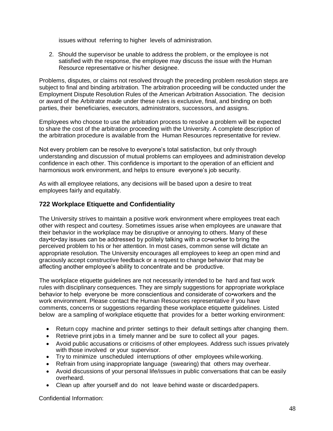issues without referring to higher levels of administration.

2. Should the supervisor be unable to address the problem, or the employee is not satisfied with the response, the employee may discuss the issue with the Human Resource representative or his/her designee.

Problems, disputes, or claims not resolved through the preceding problem resolution steps are subject to final and binding arbitration. The arbitration proceeding will be conducted under the Employment Dispute Resolution Rules of the American Arbitration Association. The decision or award of the Arbitrator made under these rules is exclusive, final, and binding on both parties, their beneficiaries, executors, administrators, successors, and assigns.

Employees who choose to use the arbitration process to resolve a problem will be expected to share the cost of the arbitration proceeding with the University. A complete description of the arbitration procedure is available from the Human Resources representative for review.

Not every problem can be resolve to everyone's total satisfaction, but only through understanding and discussion of mutual problems can employees and administration develop confidence in each other. This confidence is important to the operation of an efficient and harmonious work environment, and helps to ensure everyone's job security.

As with all employee relations, any decisions will be based upon a desire to treat employees fairly and equitably.

# **722 Workplace Etiquette and Confidentiality**

The University strives to maintain a positive work environment where employees treat each other with respect and courtesy. Sometimes issues arise when employees are unaware that their behavior in the workplace may be disruptive or annoying to others. Many of these day•to•day issues can be addressed by politely talking with a co•worker to bring the perceived problem to his or her attention. In most cases, common sense will dictate an appropriate resolution. The University encourages all employees to keep an open mind and graciously accept constructive feedback or a request to change behavior that may be affecting another employee's ability to concentrate and be productive.

The workplace etiquette guidelines are not necessarily intended to be hard and fast work rules with disciplinary consequences. They are simply suggestions for appropriate workplace behavior to help everyone be more conscientious and considerate of co•workers and the work environment. Please contact the Human Resources representative if you have comments, concerns or suggestions regarding these workplace etiquette guidelines. Listed below are a sampling of workplace etiquette that provides for a better working environment:

- Return copy machine and printer settings to their default settings after changing them.
- Retrieve print jobs in a timely manner and be sure to collect all your pages.
- Avoid public accusations or criticisms of other employees. Address such issues privately with those involved or your supervisor.
- Try to minimize unscheduled interruptions of other employees while working.
- Refrain from using inappropriate language (swearing) that others may overhear.
- Avoid discussions of your personal life/issues in public conversations that can be easily overheard.
- Clean up after yourself and do not leave behind waste or discardedpapers.

Confidential Information: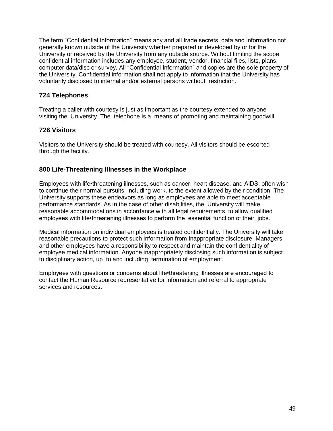The term "Confidential Information" means any and all trade secrets, data and information not generally known outside of the University whether prepared or developed by or for the University or received by the University from any outside source. Without limiting the scope, confidential information includes any employee, student, vendor, financial files, lists, plans, computer data/disc or survey. All "Confidential Information" and copies are the sole property of the University. Confidential information shall not apply to information that the University has voluntarily disclosed to internal and/or external persons without restriction.

# **724 Telephones**

Treating a caller with courtesy is just as important as the courtesy extended to anyone visiting the University. The telephone is a means of promoting and maintaining goodwill.

## **726 Visitors**

Visitors to the University should be treated with courtesy. All visitors should be escorted through the facility.

# **800 Life-Threatening Illnesses in the Workplace**

Employees with life•threatening illnesses, such as cancer, heart disease, and AIDS, often wish to continue their normal pursuits, including work, to the extent allowed by their condition. The University supports these endeavors as long as employees are able to meet acceptable performance standards. As in the case of other disabilities, the University will make reasonable accommodations in accordance with all legal requirements, to allow qualified employees with life•threatening illnesses to perform the essential function of their jobs.

Medical information on individual employees is treated confidentially. The University will take reasonable precautions to protect such information from inappropriate disclosure. Managers and other employees have a responsibility to respect and maintain the confidentiality of employee medical information. Anyone inappropriately disclosing such information is subject to disciplinary action, up to and including termination of employment.

Employees with questions or concerns about life•threatening illnesses are encouraged to contact the Human Resource representative for information and referral to appropriate services and resources.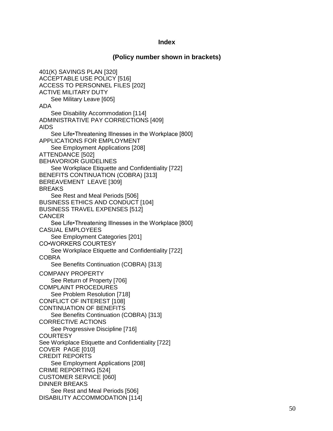## **Index**

**(Policy number shown in brackets)**

401(K) SAVINGS PLAN [320] ACCEPTABLE USE POLICY [516] ACCESS TO PERSONNEL FILES [202] ACTIVE MILITARY DUTY See Military Leave [605] ADA See Disability Accommodation [114] ADMINISTRATIVE PAY CORRECTIONS [409] AIDS See Life•Threatening Illnesses in the Workplace [800] APPLICATIONS FOR EMPLOYMENT See Employment Applications [208] ATTENDANCE [502] BEHAVORIOR GUIDELINES See Workplace Etiquette and Confidentiality [722] BENEFITS CONTINUATION (COBRA) [313] BEREAVEMENT LEAVE [309] **BREAKS** See Rest and Meal Periods [506] BUSINESS ETHICS AND CONDUCT [104] BUSINESS TRAVEL EXPENSES [512] **CANCER** See Life•Threatening Illnesses in the Workplace [800] CASUAL EMPLOYEES See Employment Categories [201] CO•WORKERS COURTESY See Workplace Etiquette and Confidentiality [722] COBRA See Benefits Continuation (COBRA) [313] COMPANY PROPERTY See Return of Property [706] COMPLAINT PROCEDURES See Problem Resolution [718] CONFLICT OF INTEREST [108] CONTINUATION OF BENEFITS See Benefits Continuation (COBRA) [313] CORRECTIVE ACTIONS See Progressive Discipline [716] **COURTESY** See Workplace Etiquette and Confidentiality [722] COVER PAGE [010] CREDIT REPORTS See Employment Applications [208] CRIME REPORTING [524] CUSTOMER SERVICE [060] DINNER BREAKS See Rest and Meal Periods [506] DISABILITY ACCOMMODATION [114]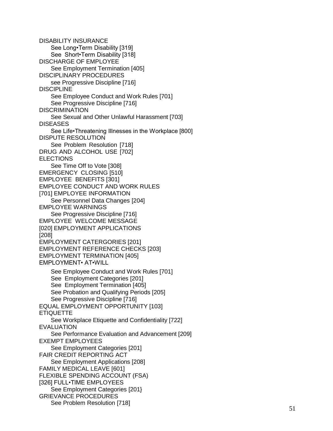DISABILITY INSURANCE See Long•Term Disability [319] See Short•Term Disability [318] DISCHARGE OF EMPLOYEE See Employment Termination [405] DISCIPLINARY PROCEDURES see Progressive Discipline [716] **DISCIPLINE** See Employee Conduct and Work Rules [701] See Progressive Discipline [716] **DISCRIMINATION** See Sexual and Other Unlawful Harassment [703] DISEASES See Life•Threatening Illnesses in the Workplace [800] DISPUTE RESOLUTION See Problem Resolution [718] DRUG AND ALCOHOL USE [702] **ELECTIONS** See Time Off to Vote [308] EMERGENCY CLOSING [510] EMPLOYEE BENEFITS [301] EMPLOYEE CONDUCT AND WORK RULES [701] EMPLOYEE INFORMATION See Personnel Data Changes [204] EMPLOYEE WARNINGS See Progressive Discipline [716] EMPLOYEE WELCOME MESSAGE [020] EMPLOYMENT APPLICATIONS [208] EMPLOYMENT CATERGORIES [201] EMPLOYMENT REFERENCE CHECKS [203] EMPLOYMENT TERMINATION [405] EMPLOYMENT• AT•WILL See Employee Conduct and Work Rules [701] See Employment Categories [201] See Employment Termination [405] See Probation and Qualifying Periods [205] See Progressive Discipline [716] EQUAL EMPLOYMENT OPPORTUNITY [103] ETIQUETTE See Workplace Etiquette and Confidentiality [722] EVALUATION See Performance Evaluation and Advancement [209] EXEMPT EMPLOYEES See Employment Categories [201] FAIR CREDIT REPORTING ACT See Employment Applications [208] FAMILY MEDICAL LEAVE [601] FLEXIBLE SPENDING ACCOUNT (FSA) [326] FULL•TIME EMPLOYEES See Employment Categories [201} GRIEVANCE PROCEDURES See Problem Resolution [718]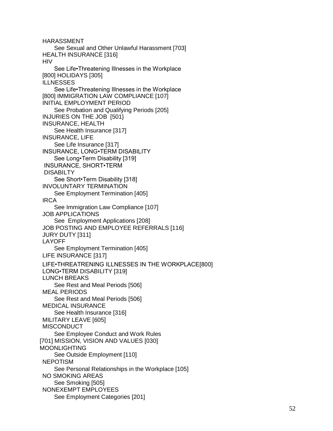HARASSMENT See Sexual and Other Unlawful Harassment [703] HEALTH INSURANCE [316] **HIV** See Life•Threatening Illnesses in the Workplace [800] HOLIDAYS [305] ILLNESSES See Life•Threatening Illnesses in the Workplace [800] IMMIGRATION LAW COMPLIANCE [107] INITIAL EMPLOYMENT PERIOD See Probation and Qualifying Periods [205] INJURIES ON THE JOB [501} INSURANCE, HEALTH See Health Insurance [317] INSURANCE, LIFE See Life Insurance [317] INSURANCE, LONG•TERM DISABILITY See Long•Term Disability [319] INSURANCE, SHORT•TERM DISABILTY See Short•Term Disability [318] INVOLUNTARY TERMINATION See Employment Termination [405] **IRCA** See Immigration Law Compliance [107] JOB APPLICATIONS See Employment Applications [208] JOB POSTING AND EMPLOYEE REFERRALS [116] JURY DUTY [311] LAYOFF See Employment Termination [405] LIFE INSURANCE [317] LIFE•THREATRENING ILLNESSES IN THE WORKPLACE[800] LONG•TERM DISABILITY [319] LUNCH BREAKS See Rest and Meal Periods [506] MEAL PERIODS See Rest and Meal Periods [506] MEDICAL INSURANCE See Health Insurance [316] MILITARY LEAVE [605] **MISCONDUCT** See Employee Conduct and Work Rules [701] MISSION, VISION AND VALUES [030] MOONLIGHTING See Outside Employment [110] NEPOTISM See Personal Relationships in the Workplace [105] NO SMOKING AREAS See Smoking [505] NONEXEMPT EMPLOYEES See Employment Categories [201]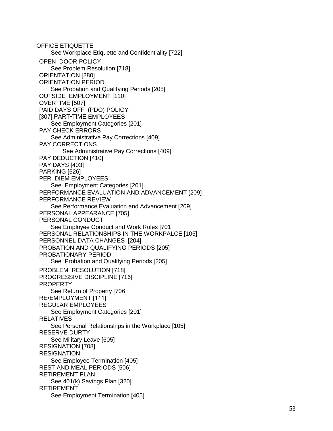OFFICE ETIQUETTE See Workplace Etiquette and Confidentiality [722] OPEN DOOR POLICY See Problem Resolution [718] ORIENTATION [280] ORIENTATION PERIOD See Probation and Qualifying Periods [205] OUTSIDE EMPLOYMENT [110] OVERTIME [507] PAID DAYS OFF (PDO) POLICY [307] PART•TIME EMPLOYEES See Employment Categories [201] PAY CHECK ERRORS See Administrative Pay Corrections [409] PAY CORRECTIONS See Administrative Pay Corrections [409] PAY DEDUCTION [410] PAY DAYS [403] PARKING [526] PER DIEM EMPLOYEES See Employment Categories [201] PERFORMANCE EVALUATION AND ADVANCEMENT [209] PERFORMANCE REVIEW See Performance Evaluation and Advancement [209] PERSONAL APPEARANCE [705] PERSONAL CONDUCT See Employee Conduct and Work Rules [701] PERSONAL RELATIONSHIPS IN THE WORKPALCE [105] PERSONNEL DATA CHANGES [204] PROBATION AND QUALIFYING PERIODS [205] PROBATIONARY PERIOD See Probation and Qualifying Periods [205] PROBLEM RESOLUTION [718] PROGRESSIVE DISCIPLINE [716] PROPERTY See Return of Property [706] RE•EMPLOYMENT [111] REGULAR EMPLOYEES See Employment Categories [201] RELATIVES See Personal Relationships in the Workplace [105] RESERVE DURTY See Military Leave [605] RESIGNATION [708] **RESIGNATION** See Employee Termination [405] REST AND MEAL PERIODS [506] RETIREMENT PLAN See 401(k) Savings Plan [320] RETIREMENT See Employment Termination [405]